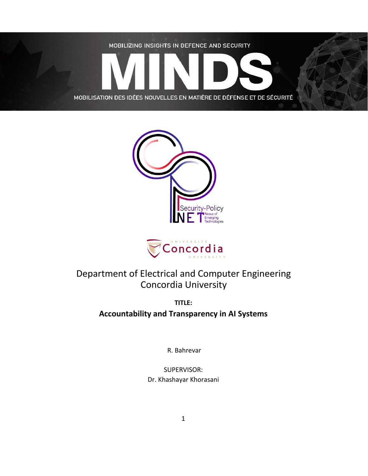





# Department of Electrical and Computer Engineering Concordia University

**TITLE: Accountability and Transparency in AI Systems**

R. Bahrevar

SUPERVISOR: Dr. Khashayar Khorasani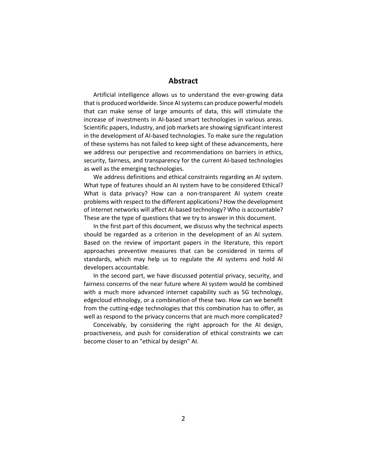## **Abstract**

Artificial intelligence allows us to understand the ever-growing data that is produced worldwide. Since AI systems can produce powerful models that can make sense of large amounts of data, this will stimulate the increase of investments in AI-based smart technologies in various areas. Scientific papers, Industry, and job markets are showing significant interest in the development of AI-based technologies. To make sure the regulation of these systems has not failed to keep sight of these advancements, here we address our perspective and recommendations on barriers in ethics, security, fairness, and transparency for the current AI-based technologies as well as the emerging technologies.

We address definitions and ethical constraints regarding an AI system. What type of features should an AI system have to be considered Ethical? What is data privacy? How can a non-transparent AI system create problems with respect to the different applications? How the development of internet networks will affect AI-based technology? Who is accountable? These are the type of questions that we try to answer in this document.

In the first part of this document, we discuss why the technical aspects should be regarded as a criterion in the development of an AI system. Based on the review of important papers in the literature, this report approaches preventive measures that can be considered in terms of standards, which may help us to regulate the AI systems and hold AI developers accountable.

In the second part, we have discussed potential privacy, security, and fairness concerns of the near future where AI system would be combined with a much more advanced internet capability such as 5G technology, edgecloud ethnology, or a combination of these two. How can we benefit from the cutting-edge technologies that this combination has to offer, as well as respond to the privacy concerns that are much more complicated?

Conceivably, by considering the right approach for the AI design, proactiveness, and push for consideration of ethical constraints we can become closer to an "ethical by design" AI.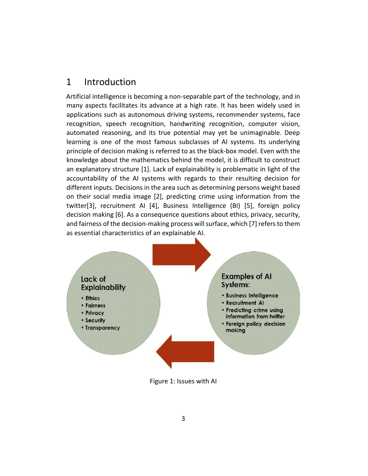# 1 Introduction

Artificial intelligence is becoming a non-separable part of the technology, and in many aspects facilitates its advance at a high rate. It has been widely used in applications such as autonomous driving systems, recommender systems, face recognition, speech recognition, handwriting recognition, computer vision, automated reasoning, and its true potential may yet be unimaginable. Deep learning is one of the most famous subclasses of AI systems. Its underlying principle of decision making is referred to as the black-box model. Even with the knowledge about the mathematics behind the model, it is difficult to construct an explanatory structure [1]. Lack of explainability is problematic in light of the accountability of the AI systems with regards to their resulting decision for different inputs. Decisions in the area such as determining persons weight based on their social media image [2], predicting crime using information from the twitter[3], recruitment AI [4], Business Intelligence (BI) [5], foreign policy decision making [6]. As a consequence questions about ethics, privacy, security, and fairness of the decision-making process will surface, which [7] refers to them as essential characteristics of an explainable AI.



Figure 1: Issues with AI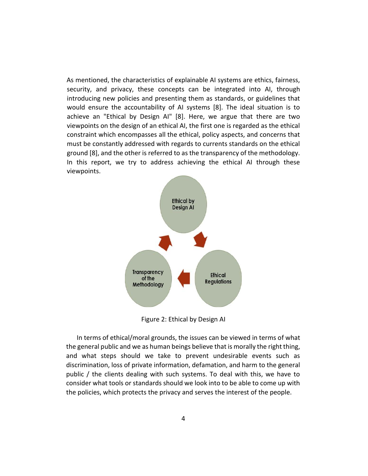As mentioned, the characteristics of explainable AI systems are ethics, fairness, security, and privacy, these concepts can be integrated into AI, through introducing new policies and presenting them as standards, or guidelines that would ensure the accountability of AI systems [8]. The ideal situation is to achieve an "Ethical by Design AI" [8]. Here, we argue that there are two viewpoints on the design of an ethical AI, the first one is regarded as the ethical constraint which encompasses all the ethical, policy aspects, and concerns that must be constantly addressed with regards to currents standards on the ethical ground [8], and the other is referred to as the transparency of the methodology. In this report, we try to address achieving the ethical AI through these viewpoints.



Figure 2: Ethical by Design AI

In terms of ethical/moral grounds, the issues can be viewed in terms of what the general public and we as human beings believe that is morally the right thing, and what steps should we take to prevent undesirable events such as discrimination, loss of private information, defamation, and harm to the general public / the clients dealing with such systems. To deal with this, we have to consider what tools or standards should we look into to be able to come up with the policies, which protects the privacy and serves the interest of the people.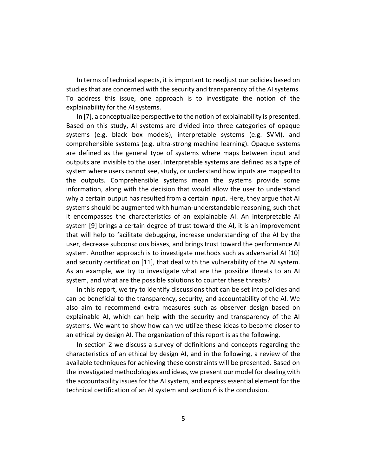In terms of technical aspects, it is important to readjust our policies based on studies that are concerned with the security and transparency of the AI systems. To address this issue, one approach is to investigate the notion of the explainability for the AI systems.

In [7], a conceptualize perspective to the notion of explainability is presented. Based on this study, AI systems are divided into three categories of opaque systems (e.g. black box models), interpretable systems (e.g. SVM), and comprehensible systems (e.g. ultra-strong machine learning). Opaque systems are defined as the general type of systems where maps between input and outputs are invisible to the user. Interpretable systems are defined as a type of system where users cannot see, study, or understand how inputs are mapped to the outputs. Comprehensible systems mean the systems provide some information, along with the decision that would allow the user to understand why a certain output has resulted from a certain input. Here, they argue that AI systems should be augmented with human-understandable reasoning, such that it encompasses the characteristics of an explainable AI. An interpretable AI system [9] brings a certain degree of trust toward the AI, it is an improvement that will help to facilitate debugging, increase understanding of the AI by the user, decrease subconscious biases, and brings trust toward the performance AI system. Another approach is to investigate methods such as adversarial AI [10] and security certification [11], that deal with the vulnerability of the AI system. As an example, we try to investigate what are the possible threats to an AI system, and what are the possible solutions to counter these threats?

In this report, we try to identify discussions that can be set into policies and can be beneficial to the transparency, security, and accountability of the AI. We also aim to recommend extra measures such as observer design based on explainable AI, which can help with the security and transparency of the AI systems. We want to show how can we utilize these ideas to become closer to an ethical by design AI. The organization of this report is as the following.

In section 2 we discuss a survey of definitions and concepts regarding the characteristics of an ethical by design AI, and in the following, a review of the available techniques for achieving these constraints will be presented. Based on the investigated methodologies and ideas, we present our model for dealing with the accountability issues for the AI system, and express essential element for the technical certification of an AI system and section 6 is the conclusion.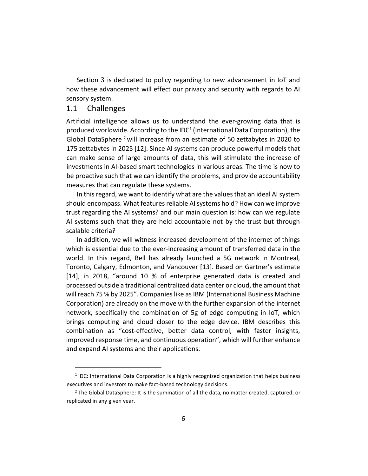Section 3 is dedicated to policy regarding to new advancement in IoT and how these advancement will effect our privacy and security with regards to AI sensory system.

## 1.1 Challenges

Artificial intelligence allows us to understand the ever-growing data that is produced worldwide. According to the IDC<sup>1</sup> (International Data Corporation), the Global DataSphere<sup>2</sup> will increase from an estimate of 50 zettabytes in 2020 to 175 zettabytes in 2025 [12]. Since AI systems can produce powerful models that can make sense of large amounts of data, this will stimulate the increase of investments in AI-based smart technologies in various areas. The time is now to be proactive such that we can identify the problems, and provide accountability measures that can regulate these systems.

In this regard, we want to identify what are the values that an ideal AI system should encompass. What features reliable AI systems hold? How can we improve trust regarding the AI systems? and our main question is: how can we regulate AI systems such that they are held accountable not by the trust but through scalable criteria?

In addition, we will witness increased development of the internet of things which is essential due to the ever-increasing amount of transferred data in the world. In this regard, Bell has already launched a 5G network in Montreal, Toronto, Calgary, Edmonton, and Vancouver [13]. Based on Gartner's estimate [14], in 2018, "around 10 % of enterprise generated data is created and processed outside a traditional centralized data center or cloud, the amount that will reach 75 % by 2025". Companies like as IBM (International Business Machine Corporation) are already on the move with the further expansion of the internet network, specifically the combination of 5g of edge computing in IoT, which brings computing and cloud closer to the edge device. IBM describes this combination as "cost-effective, better data control, with faster insights, improved response time, and continuous operation", which will further enhance and expand AI systems and their applications.

<sup>&</sup>lt;sup>1</sup> IDC: International Data Corporation is a highly recognized organization that helps business executives and investors to make fact-based technology decisions.

 $<sup>2</sup>$  The Global DataSphere: It is the summation of all the data, no matter created, captured, or</sup> replicated in any given year.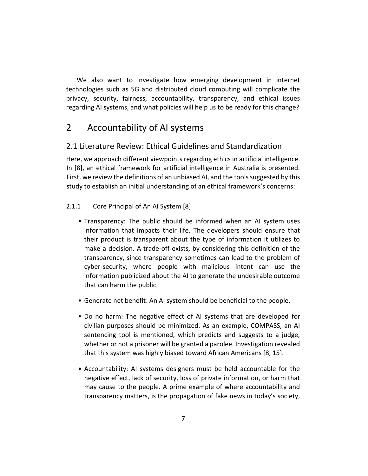We also want to investigate how emerging development in internet technologies such as 5G and distributed cloud computing will complicate the privacy, security, fairness, accountability, transparency, and ethical issues regarding AI systems, and what policies will help us to be ready for this change?

# 2 Accountability of AI systems

# 2.1 Literature Review: Ethical Guidelines and Standardization

Here, we approach different viewpoints regarding ethics in artificial intelligence. In [8], an ethical framework for artificial intelligence in Australia is presented. First, we review the definitions of an unbiased AI, and the tools suggested by this study to establish an initial understanding of an ethical framework's concerns:

## 2.1.1 Core Principal of An AI System [8]

- Transparency: The public should be informed when an AI system uses information that impacts their life. The developers should ensure that their product is transparent about the type of information it utilizes to make a decision. A trade-off exists, by considering this definition of the transparency, since transparency sometimes can lead to the problem of cyber-security, where people with malicious intent can use the information publicized about the AI to generate the undesirable outcome that can harm the public.
- Generate net benefit: An AI system should be beneficial to the people.
- Do no harm: The negative effect of AI systems that are developed for civilian purposes should be minimized. As an example, COMPASS, an AI sentencing tool is mentioned, which predicts and suggests to a judge, whether or not a prisoner will be granted a parolee. Investigation revealed that this system was highly biased toward African Americans [8, 15].
- Accountability: AI systems designers must be held accountable for the negative effect, lack of security, loss of private information, or harm that may cause to the people. A prime example of where accountability and transparency matters, is the propagation of fake news in today's society,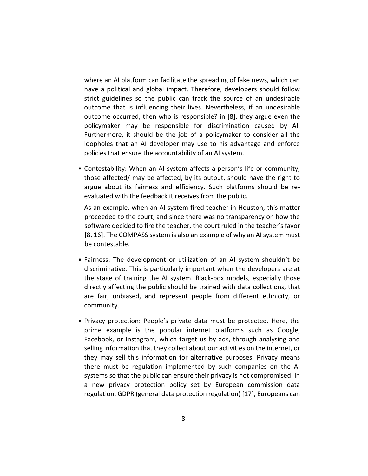where an AI platform can facilitate the spreading of fake news, which can have a political and global impact. Therefore, developers should follow strict guidelines so the public can track the source of an undesirable outcome that is influencing their lives. Nevertheless, if an undesirable outcome occurred, then who is responsible? in [8], they argue even the policymaker may be responsible for discrimination caused by AI. Furthermore, it should be the job of a policymaker to consider all the loopholes that an AI developer may use to his advantage and enforce policies that ensure the accountability of an AI system.

• Contestability: When an AI system affects a person's life or community, those affected/ may be affected, by its output, should have the right to argue about its fairness and efficiency. Such platforms should be reevaluated with the feedback it receives from the public.

As an example, when an AI system fired teacher in Houston, this matter proceeded to the court, and since there was no transparency on how the software decided to fire the teacher, the court ruled in the teacher's favor [8, 16]. The COMPASS system is also an example of why an AI system must be contestable.

- Fairness: The development or utilization of an AI system shouldn't be discriminative. This is particularly important when the developers are at the stage of training the AI system. Black-box models, especially those directly affecting the public should be trained with data collections, that are fair, unbiased, and represent people from different ethnicity, or community.
- Privacy protection: People's private data must be protected. Here, the prime example is the popular internet platforms such as Google, Facebook, or Instagram, which target us by ads, through analysing and selling information that they collect about our activities on the internet, or they may sell this information for alternative purposes. Privacy means there must be regulation implemented by such companies on the AI systems so that the public can ensure their privacy is not compromised. In a new privacy protection policy set by European commission data regulation, GDPR (general data protection regulation) [17], Europeans can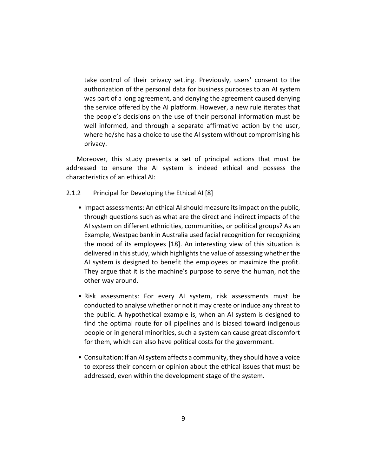take control of their privacy setting. Previously, users' consent to the authorization of the personal data for business purposes to an AI system was part of a long agreement, and denying the agreement caused denying the service offered by the AI platform. However, a new rule iterates that the people's decisions on the use of their personal information must be well informed, and through a separate affirmative action by the user, where he/she has a choice to use the AI system without compromising his privacy.

Moreover, this study presents a set of principal actions that must be addressed to ensure the AI system is indeed ethical and possess the characteristics of an ethical AI:

- 2.1.2 Principal for Developing the Ethical AI [8]
	- Impact assessments: An ethical AI should measure its impact on the public, through questions such as what are the direct and indirect impacts of the AI system on different ethnicities, communities, or political groups? As an Example, Westpac bank in Australia used facial recognition for recognizing the mood of its employees [18]. An interesting view of this situation is delivered in this study, which highlights the value of assessing whether the AI system is designed to benefit the employees or maximize the profit. They argue that it is the machine's purpose to serve the human, not the other way around.
	- Risk assessments: For every AI system, risk assessments must be conducted to analyse whether or not it may create or induce any threat to the public. A hypothetical example is, when an AI system is designed to find the optimal route for oil pipelines and is biased toward indigenous people or in general minorities, such a system can cause great discomfort for them, which can also have political costs for the government.
	- Consultation: If an AI system affects a community, they should have a voice to express their concern or opinion about the ethical issues that must be addressed, even within the development stage of the system.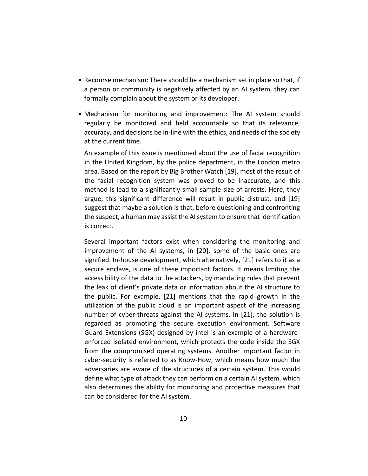- Recourse mechanism: There should be a mechanism set in place so that, if a person or community is negatively affected by an AI system, they can formally complain about the system or its developer.
- Mechanism for monitoring and improvement: The AI system should regularly be monitored and held accountable so that its relevance, accuracy, and decisions be in-line with the ethics, and needs of the society at the current time.

An example of this issue is mentioned about the use of facial recognition in the United Kingdom, by the police department, in the London metro area. Based on the report by Big Brother Watch [19], most of the result of the facial recognition system was proved to be inaccurate, and this method is lead to a significantly small sample size of arrests. Here, they argue, this significant difference will result in public distrust, and [19] suggest that maybe a solution is that, before questioning and confronting the suspect, a human may assist the AI system to ensure that identification is correct.

Several important factors exist when considering the monitoring and improvement of the AI systems, in [20], some of the basic ones are signified. In-house development, which alternatively, [21] refers to it as a secure enclave, is one of these important factors. It means limiting the accessibility of the data to the attackers, by mandating rules that prevent the leak of client's private data or information about the AI structure to the public. For example, [21] mentions that the rapid growth in the utilization of the public cloud is an important aspect of the increasing number of cyber-threats against the AI systems. In [21], the solution is regarded as promoting the secure execution environment. Software Guard Extensions (SGX) designed by intel is an example of a hardwareenforced isolated environment, which protects the code inside the SGX from the compromised operating systems. Another important factor in cyber-security is referred to as Know-How, which means how much the adversaries are aware of the structures of a certain system. This would define what type of attack they can perform on a certain AI system, which also determines the ability for monitoring and protective measures that can be considered for the AI system.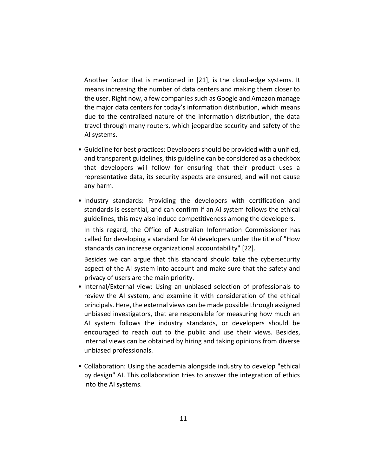Another factor that is mentioned in [21], is the cloud-edge systems. It means increasing the number of data centers and making them closer to the user. Right now, a few companies such as Google and Amazon manage the major data centers for today's information distribution, which means due to the centralized nature of the information distribution, the data travel through many routers, which jeopardize security and safety of the AI systems.

- Guideline for best practices: Developers should be provided with a unified, and transparent guidelines, this guideline can be considered as a checkbox that developers will follow for ensuring that their product uses a representative data, its security aspects are ensured, and will not cause any harm.
- Industry standards: Providing the developers with certification and standards is essential, and can confirm if an AI system follows the ethical guidelines, this may also induce competitiveness among the developers.

In this regard, the Office of Australian Information Commissioner has called for developing a standard for AI developers under the title of "How standards can increase organizational accountability" [22].

Besides we can argue that this standard should take the cybersecurity aspect of the AI system into account and make sure that the safety and privacy of users are the main priority.

- Internal/External view: Using an unbiased selection of professionals to review the AI system, and examine it with consideration of the ethical principals. Here, the external views can be made possible through assigned unbiased investigators, that are responsible for measuring how much an AI system follows the industry standards, or developers should be encouraged to reach out to the public and use their views. Besides, internal views can be obtained by hiring and taking opinions from diverse unbiased professionals.
- Collaboration: Using the academia alongside industry to develop "ethical by design" AI. This collaboration tries to answer the integration of ethics into the AI systems.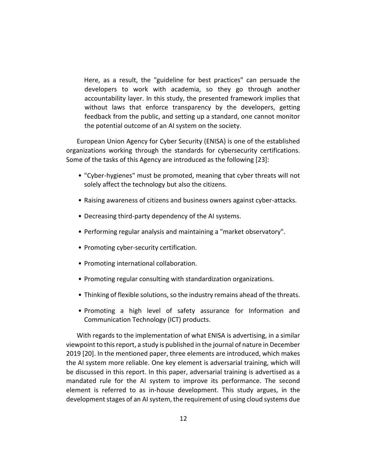Here, as a result, the "guideline for best practices" can persuade the developers to work with academia, so they go through another accountability layer. In this study, the presented framework implies that without laws that enforce transparency by the developers, getting feedback from the public, and setting up a standard, one cannot monitor the potential outcome of an AI system on the society.

European Union Agency for Cyber Security (ENISA) is one of the established organizations working through the standards for cybersecurity certifications. Some of the tasks of this Agency are introduced as the following [23]:

- "Cyber-hygienes" must be promoted, meaning that cyber threats will not solely affect the technology but also the citizens.
- Raising awareness of citizens and business owners against cyber-attacks.
- Decreasing third-party dependency of the AI systems.
- Performing regular analysis and maintaining a "market observatory".
- Promoting cyber-security certification.
- Promoting international collaboration.
- Promoting regular consulting with standardization organizations.
- Thinking of flexible solutions, so the industry remains ahead of the threats.
- Promoting a high level of safety assurance for Information and Communication Technology (ICT) products.

With regards to the implementation of what ENISA is advertising, in a similar viewpoint to this report, a study is published in the journal of nature in December 2019 [20]. In the mentioned paper, three elements are introduced, which makes the AI system more reliable. One key element is adversarial training, which will be discussed in this report. In this paper, adversarial training is advertised as a mandated rule for the AI system to improve its performance. The second element is referred to as in-house development. This study argues, in the development stages of an AI system, the requirement of using cloud systems due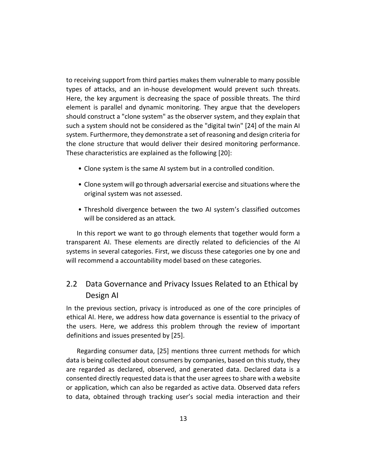to receiving support from third parties makes them vulnerable to many possible types of attacks, and an in-house development would prevent such threats. Here, the key argument is decreasing the space of possible threats. The third element is parallel and dynamic monitoring. They argue that the developers should construct a "clone system" as the observer system, and they explain that such a system should not be considered as the "digital twin" [24] of the main AI system. Furthermore, they demonstrate a set of reasoning and design criteria for the clone structure that would deliver their desired monitoring performance. These characteristics are explained as the following [20]:

- Clone system is the same AI system but in a controlled condition.
- Clone system will go through adversarial exercise and situations where the original system was not assessed.
- Threshold divergence between the two AI system's classified outcomes will be considered as an attack.

In this report we want to go through elements that together would form a transparent AI. These elements are directly related to deficiencies of the AI systems in several categories. First, we discuss these categories one by one and will recommend a accountability model based on these categories.

# 2.2 Data Governance and Privacy Issues Related to an Ethical by Design AI

In the previous section, privacy is introduced as one of the core principles of ethical AI. Here, we address how data governance is essential to the privacy of the users. Here, we address this problem through the review of important definitions and issues presented by [25].

Regarding consumer data, [25] mentions three current methods for which data is being collected about consumers by companies, based on this study, they are regarded as declared, observed, and generated data. Declared data is a consented directly requested data is that the user agrees to share with a website or application, which can also be regarded as active data. Observed data refers to data, obtained through tracking user's social media interaction and their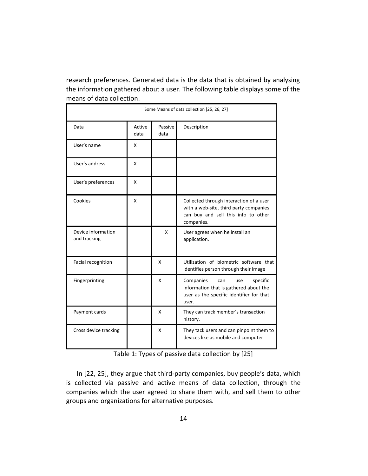research preferences. Generated data is the data that is obtained by analysing the information gathered about a user. The following table displays some of the means of data collection.

| Some Means of data collection [25, 26, 27] |                |                 |                                                                                                                                        |  |  |
|--------------------------------------------|----------------|-----------------|----------------------------------------------------------------------------------------------------------------------------------------|--|--|
| Data                                       | Active<br>data | Passive<br>data | Description                                                                                                                            |  |  |
| User's name                                | x              |                 |                                                                                                                                        |  |  |
| User's address                             | X              |                 |                                                                                                                                        |  |  |
| User's preferences                         | X              |                 |                                                                                                                                        |  |  |
| Cookies                                    | X              |                 | Collected through interaction of a user<br>with a web-site, third party companies<br>can buy and sell this info to other<br>companies. |  |  |
| Device information<br>and tracking         |                | X               | User agrees when he install an<br>application.                                                                                         |  |  |
| Facial recognition                         |                | x               | Utilization of biometric software that<br>identifies person through their image                                                        |  |  |
| Fingerprinting                             |                | X               | Companies<br>specific<br>can<br>use<br>information that is gathered about the<br>user as the specific identifier for that<br>user.     |  |  |
| Payment cards                              |                | x               | They can track member's transaction<br>history.                                                                                        |  |  |
| Cross device tracking                      |                | X               | They tack users and can pinpoint them to<br>devices like as mobile and computer                                                        |  |  |

Table 1: Types of passive data collection by [25]

In [22, 25], they argue that third-party companies, buy people's data, which is collected via passive and active means of data collection, through the companies which the user agreed to share them with, and sell them to other groups and organizations for alternative purposes.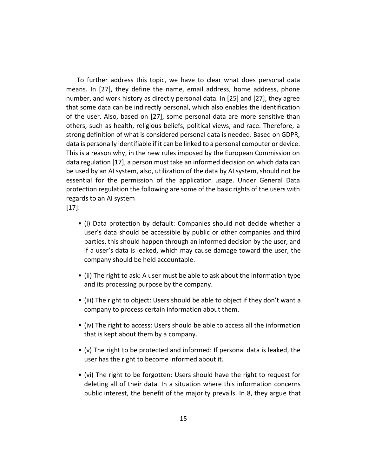To further address this topic, we have to clear what does personal data means. In [27], they define the name, email address, home address, phone number, and work history as directly personal data. In [25] and [27], they agree that some data can be indirectly personal, which also enables the identification of the user. Also, based on [27], some personal data are more sensitive than others, such as health, religious beliefs, political views, and race. Therefore, a strong definition of what is considered personal data is needed. Based on GDPR, data is personally identifiable if it can be linked to a personal computer or device. This is a reason why, in the new rules imposed by the European Commission on data regulation [17], a person must take an informed decision on which data can be used by an AI system, also, utilization of the data by AI system, should not be essential for the permission of the application usage. Under General Data protection regulation the following are some of the basic rights of the users with regards to an AI system

[17]:

- (i) Data protection by default: Companies should not decide whether a user's data should be accessible by public or other companies and third parties, this should happen through an informed decision by the user, and if a user's data is leaked, which may cause damage toward the user, the company should be held accountable.
- (ii) The right to ask: A user must be able to ask about the information type and its processing purpose by the company.
- (iii) The right to object: Users should be able to object if they don't want a company to process certain information about them.
- (iv) The right to access: Users should be able to access all the information that is kept about them by a company.
- (v) The right to be protected and informed: If personal data is leaked, the user has the right to become informed about it.
- (vi) The right to be forgotten: Users should have the right to request for deleting all of their data. In a situation where this information concerns public interest, the benefit of the majority prevails. In 8, they argue that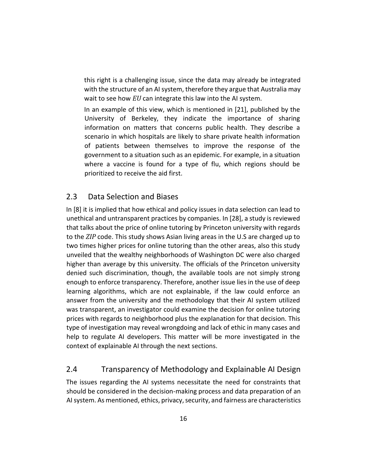this right is a challenging issue, since the data may already be integrated with the structure of an AI system, therefore they argue that Australia may wait to see how *EU* can integrate this law into the AI system.

In an example of this view, which is mentioned in [21], published by the University of Berkeley, they indicate the importance of sharing information on matters that concerns public health. They describe a scenario in which hospitals are likely to share private health information of patients between themselves to improve the response of the government to a situation such as an epidemic. For example, in a situation where a vaccine is found for a type of flu, which regions should be prioritized to receive the aid first.

# 2.3 Data Selection and Biases

In [8] it is implied that how ethical and policy issues in data selection can lead to unethical and untransparent practices by companies. In [28], a study is reviewed that talks about the price of online tutoring by Princeton university with regards to the *ZIP* code. This study shows Asian living areas in the U.S are charged up to two times higher prices for online tutoring than the other areas, also this study unveiled that the wealthy neighborhoods of Washington DC were also charged higher than average by this university. The officials of the Princeton university denied such discrimination, though, the available tools are not simply strong enough to enforce transparency. Therefore, another issue lies in the use of deep learning algorithms, which are not explainable, if the law could enforce an answer from the university and the methodology that their AI system utilized was transparent, an investigator could examine the decision for online tutoring prices with regards to neighborhood plus the explanation for that decision. This type of investigation may reveal wrongdoing and lack of ethic in many cases and help to regulate AI developers. This matter will be more investigated in the context of explainable AI through the next sections.

# 2.4 Transparency of Methodology and Explainable AI Design

The issues regarding the AI systems necessitate the need for constraints that should be considered in the decision-making process and data preparation of an AI system. As mentioned, ethics, privacy, security, and fairness are characteristics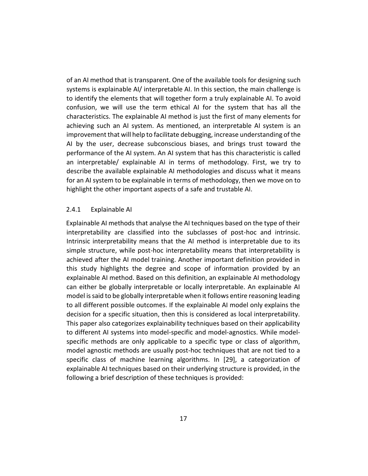of an AI method that is transparent. One of the available tools for designing such systems is explainable AI/ interpretable AI. In this section, the main challenge is to identify the elements that will together form a truly explainable AI. To avoid confusion, we will use the term ethical AI for the system that has all the characteristics. The explainable AI method is just the first of many elements for achieving such an AI system. As mentioned, an interpretable AI system is an improvement that will help to facilitate debugging, increase understanding of the AI by the user, decrease subconscious biases, and brings trust toward the performance of the AI system. An AI system that has this characteristic is called an interpretable/ explainable AI in terms of methodology. First, we try to describe the available explainable AI methodologies and discuss what it means for an AI system to be explainable in terms of methodology, then we move on to highlight the other important aspects of a safe and trustable AI.

#### 2.4.1 Explainable AI

Explainable AI methods that analyse the AI techniques based on the type of their interpretability are classified into the subclasses of post-hoc and intrinsic. Intrinsic interpretability means that the AI method is interpretable due to its simple structure, while post-hoc interpretability means that interpretability is achieved after the AI model training. Another important definition provided in this study highlights the degree and scope of information provided by an explainable AI method. Based on this definition, an explainable AI methodology can either be globally interpretable or locally interpretable. An explainable AI model is said to be globally interpretable when it follows entire reasoning leading to all different possible outcomes. If the explainable AI model only explains the decision for a specific situation, then this is considered as local interpretability. This paper also categorizes explainability techniques based on their applicability to different AI systems into model-specific and model-agnostics. While modelspecific methods are only applicable to a specific type or class of algorithm, model agnostic methods are usually post-hoc techniques that are not tied to a specific class of machine learning algorithms. In [29], a categorization of explainable AI techniques based on their underlying structure is provided, in the following a brief description of these techniques is provided: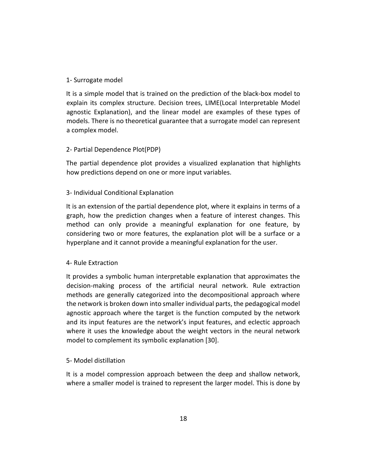## 1- Surrogate model

It is a simple model that is trained on the prediction of the black-box model to explain its complex structure. Decision trees, LIME(Local Interpretable Model agnostic Explanation), and the linear model are examples of these types of models. There is no theoretical guarantee that a surrogate model can represent a complex model.

## 2- Partial Dependence Plot(PDP)

The partial dependence plot provides a visualized explanation that highlights how predictions depend on one or more input variables.

## 3- Individual Conditional Explanation

It is an extension of the partial dependence plot, where it explains in terms of a graph, how the prediction changes when a feature of interest changes. This method can only provide a meaningful explanation for one feature, by considering two or more features, the explanation plot will be a surface or a hyperplane and it cannot provide a meaningful explanation for the user.

## 4- Rule Extraction

It provides a symbolic human interpretable explanation that approximates the decision-making process of the artificial neural network. Rule extraction methods are generally categorized into the decompositional approach where the network is broken down into smaller individual parts, the pedagogical model agnostic approach where the target is the function computed by the network and its input features are the network's input features, and eclectic approach where it uses the knowledge about the weight vectors in the neural network model to complement its symbolic explanation [30].

## 5- Model distillation

It is a model compression approach between the deep and shallow network, where a smaller model is trained to represent the larger model. This is done by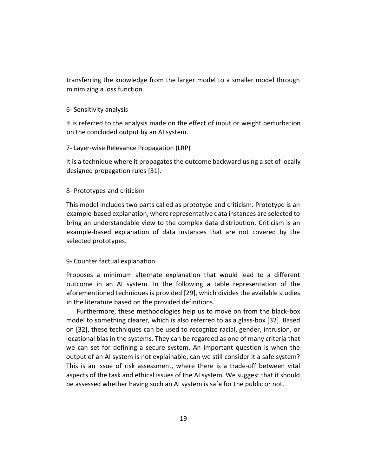transferring the knowledge from the larger model to a smaller model through minimizing a loss function.

#### 6- Sensitivity analysis

It is referred to the analysis made on the effect of input or weight perturbation on the concluded output by an AI system.

#### 7- Layer-wise Relevance Propagation (LRP)

It is a technique where it propagates the outcome backward using a set of locally designed propagation rules [31].

#### 8- Prototypes and criticism

This model includes two parts called as prototype and criticism. Prototype is an example-based explanation, where representative data instances are selected to bring an understandable view to the complex data distribution. Criticism is an example-based explanation of data instances that are not covered by the selected prototypes.

#### 9- Counter factual explanation

Proposes a minimum alternate explanation that would lead to a different outcome in an AI system. In the following a table representation of the aforementioned techniques is provided [29], which divides the available studies in the literature based on the provided definitions.

Furthermore, these methodologies help us to move on from the black-box model to something clearer, which is also referred to as a glass-box [32]. Based on [32], these techniques can be used to recognize racial, gender, intrusion, or locational bias in the systems. They can be regarded as one of many criteria that we can set for defining a secure system. An important question is when the output of an AI system is not explainable, can we still consider it a safe system? This is an issue of risk assessment, where there is a trade-off between vital aspects of the task and ethical issues of the AI system. We suggest that it should be assessed whether having such an AI system is safe for the public or not.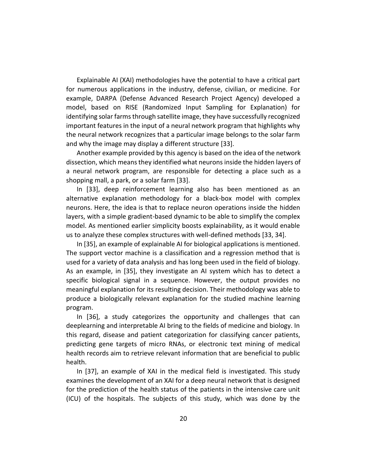Explainable AI (XAI) methodologies have the potential to have a critical part for numerous applications in the industry, defense, civilian, or medicine. For example, DARPA (Defense Advanced Research Project Agency) developed a model, based on RISE (Randomized Input Sampling for Explanation) for identifying solar farms through satellite image, they have successfully recognized important features in the input of a neural network program that highlights why the neural network recognizes that a particular image belongs to the solar farm and why the image may display a different structure [33].

Another example provided by this agency is based on the idea of the network dissection, which means they identified what neurons inside the hidden layers of a neural network program, are responsible for detecting a place such as a shopping mall, a park, or a solar farm [33].

In [33], deep reinforcement learning also has been mentioned as an alternative explanation methodology for a black-box model with complex neurons. Here, the idea is that to replace neuron operations inside the hidden layers, with a simple gradient-based dynamic to be able to simplify the complex model. As mentioned earlier simplicity boosts explainability, as it would enable us to analyze these complex structures with well-defined methods [33, 34].

In [35], an example of explainable AI for biological applications is mentioned. The support vector machine is a classification and a regression method that is used for a variety of data analysis and has long been used in the field of biology. As an example, in [35], they investigate an AI system which has to detect a specific biological signal in a sequence. However, the output provides no meaningful explanation for its resulting decision. Their methodology was able to produce a biologically relevant explanation for the studied machine learning program.

In [36], a study categorizes the opportunity and challenges that can deeplearning and interpretable AI bring to the fields of medicine and biology. In this regard, disease and patient categorization for classifying cancer patients, predicting gene targets of micro RNAs, or electronic text mining of medical health records aim to retrieve relevant information that are beneficial to public health.

In [37], an example of XAI in the medical field is investigated. This study examines the development of an XAI for a deep neural network that is designed for the prediction of the health status of the patients in the intensive care unit (ICU) of the hospitals. The subjects of this study, which was done by the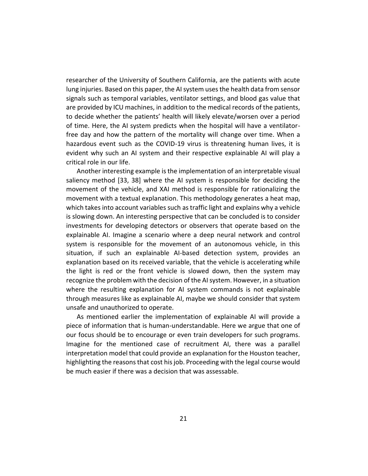researcher of the University of Southern California, are the patients with acute lung injuries. Based on this paper, the AI system uses the health data from sensor signals such as temporal variables, ventilator settings, and blood gas value that are provided by ICU machines, in addition to the medical records of the patients, to decide whether the patients' health will likely elevate/worsen over a period of time. Here, the AI system predicts when the hospital will have a ventilatorfree day and how the pattern of the mortality will change over time. When a hazardous event such as the COVID-19 virus is threatening human lives, it is evident why such an AI system and their respective explainable AI will play a critical role in our life.

Another interesting example is the implementation of an interpretable visual saliency method [33, 38] where the AI system is responsible for deciding the movement of the vehicle, and XAI method is responsible for rationalizing the movement with a textual explanation. This methodology generates a heat map, which takes into account variables such as traffic light and explains why a vehicle is slowing down. An interesting perspective that can be concluded is to consider investments for developing detectors or observers that operate based on the explainable AI. Imagine a scenario where a deep neural network and control system is responsible for the movement of an autonomous vehicle, in this situation, if such an explainable AI-based detection system, provides an explanation based on its received variable, that the vehicle is accelerating while the light is red or the front vehicle is slowed down, then the system may recognize the problem with the decision of the AI system. However, in a situation where the resulting explanation for AI system commands is not explainable through measures like as explainable AI, maybe we should consider that system unsafe and unauthorized to operate.

As mentioned earlier the implementation of explainable AI will provide a piece of information that is human-understandable. Here we argue that one of our focus should be to encourage or even train developers for such programs. Imagine for the mentioned case of recruitment AI, there was a parallel interpretation model that could provide an explanation for the Houston teacher, highlighting the reasons that cost his job. Proceeding with the legal course would be much easier if there was a decision that was assessable.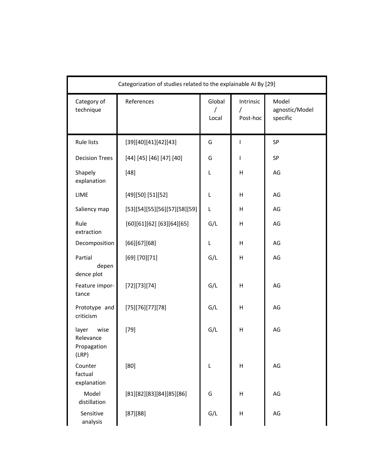| Categorization of studies related to the explainable AI By [29] |                              |                 |                                   |                                     |  |  |
|-----------------------------------------------------------------|------------------------------|-----------------|-----------------------------------|-------------------------------------|--|--|
| Category of<br>technique                                        | References                   | Global<br>Local | Intrinsic<br>$\prime$<br>Post-hoc | Model<br>agnostic/Model<br>specific |  |  |
| Rule lists                                                      | [39][40][41][42][43]         | G               | -1                                | SP                                  |  |  |
| <b>Decision Trees</b>                                           | [44] [45] [46] [47] [40]     | G               |                                   | SP                                  |  |  |
| Shapely<br>explanation                                          | $[48]$                       | L               | Н                                 | AG                                  |  |  |
| LIME                                                            | [49][50] [51][52]            | L               | Н                                 | AG                                  |  |  |
| Saliency map                                                    | [53][54][55][56][57][58][59] | L               | Н                                 | AG                                  |  |  |
| Rule<br>extraction                                              | [60][61][62] [63][64][65]    | G/L             | н                                 | AG                                  |  |  |
| Decomposition                                                   | [66][67][68]                 | L               | н                                 | AG                                  |  |  |
| Partial<br>depen<br>dence plot                                  | [69] [70] [71]               | G/L             | н                                 | AG                                  |  |  |
| Feature impor-<br>tance                                         | [72][73][74]                 | G/L             | Н                                 | AG                                  |  |  |
| Prototype and<br>criticism                                      | [75][76][77][78]             | G/L             | Н                                 | AG                                  |  |  |
| layer<br>wise<br>Relevance<br>Propagation<br>(LRP)              | $[79]$                       | G/L             | Н                                 | AG                                  |  |  |
| Counter<br>factual<br>explanation                               | [80]                         | L               | н                                 | AG                                  |  |  |
| Model<br>distillation                                           | [81][82][83][84][85][86]     | G               | н                                 | AG                                  |  |  |
| Sensitive<br>analysis                                           | [87][88]                     | G/L             | Н                                 | AG                                  |  |  |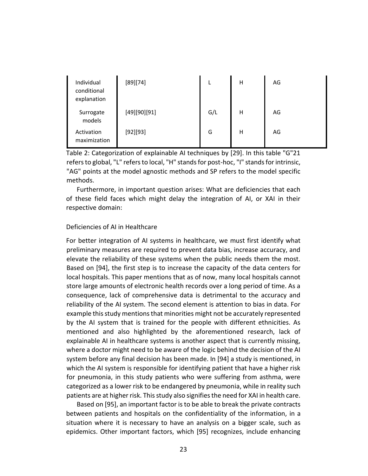| Individual<br>conditional<br>explanation | [89][74]     |     | н | AG |
|------------------------------------------|--------------|-----|---|----|
| Surrogate<br>models                      | [49][90][91] | G/L | н | AG |
| Activation<br>maximization               | [92][93]     | G   | н | AG |

Table 2: Categorization of explainable AI techniques by [29]. In this table "G"21 refers to global, "L" refers to local, "H" stands for post-hoc, "I" stands for intrinsic, "AG" points at the model agnostic methods and SP refers to the model specific methods.

Furthermore, in important question arises: What are deficiencies that each of these field faces which might delay the integration of AI, or XAI in their respective domain:

#### Deficiencies of AI in Healthcare

For better integration of AI systems in healthcare, we must first identify what preliminary measures are required to prevent data bias, increase accuracy, and elevate the reliability of these systems when the public needs them the most. Based on [94], the first step is to increase the capacity of the data centers for local hospitals. This paper mentions that as of now, many local hospitals cannot store large amounts of electronic health records over a long period of time. As a consequence, lack of comprehensive data is detrimental to the accuracy and reliability of the AI system. The second element is attention to bias in data. For example this study mentions that minorities might not be accurately represented by the AI system that is trained for the people with different ethnicities. As mentioned and also highlighted by the aforementioned research, lack of explainable AI in healthcare systems is another aspect that is currently missing, where a doctor might need to be aware of the logic behind the decision of the AI system before any final decision has been made. In [94] a study is mentioned, in which the AI system is responsible for identifying patient that have a higher risk for pneumonia, in this study patients who were suffering from asthma, were categorized as a lower risk to be endangered by pneumonia, while in reality such patients are at higher risk. This study also signifies the need for XAI in health care.

Based on [95], an important factor is to be able to break the private contracts between patients and hospitals on the confidentiality of the information, in a situation where it is necessary to have an analysis on a bigger scale, such as epidemics. Other important factors, which [95] recognizes, include enhancing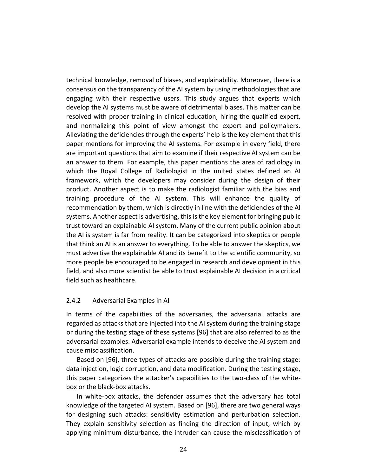technical knowledge, removal of biases, and explainability. Moreover, there is a consensus on the transparency of the AI system by using methodologies that are engaging with their respective users. This study argues that experts which develop the AI systems must be aware of detrimental biases. This matter can be resolved with proper training in clinical education, hiring the qualified expert, and normalizing this point of view amongst the expert and policymakers. Alleviating the deficiencies through the experts' help is the key element that this paper mentions for improving the AI systems. For example in every field, there are important questions that aim to examine if their respective AI system can be an answer to them. For example, this paper mentions the area of radiology in which the Royal College of Radiologist in the united states defined an AI framework, which the developers may consider during the design of their product. Another aspect is to make the radiologist familiar with the bias and training procedure of the AI system. This will enhance the quality of recommendation by them, which is directly in line with the deficiencies of the AI systems. Another aspect is advertising, this is the key element for bringing public trust toward an explainable AI system. Many of the current public opinion about the AI is system is far from reality. It can be categorized into skeptics or people that think an AI is an answer to everything. To be able to answer the skeptics, we must advertise the explainable AI and its benefit to the scientific community, so more people be encouraged to be engaged in research and development in this field, and also more scientist be able to trust explainable AI decision in a critical field such as healthcare.

### 2.4.2 Adversarial Examples in AI

In terms of the capabilities of the adversaries, the adversarial attacks are regarded as attacks that are injected into the AI system during the training stage or during the testing stage of these systems [96] that are also referred to as the adversarial examples. Adversarial example intends to deceive the AI system and cause misclassification.

Based on [96], three types of attacks are possible during the training stage: data injection, logic corruption, and data modification. During the testing stage, this paper categorizes the attacker's capabilities to the two-class of the whitebox or the black-box attacks.

In white-box attacks, the defender assumes that the adversary has total knowledge of the targeted AI system. Based on [96], there are two general ways for designing such attacks: sensitivity estimation and perturbation selection. They explain sensitivity selection as finding the direction of input, which by applying minimum disturbance, the intruder can cause the misclassification of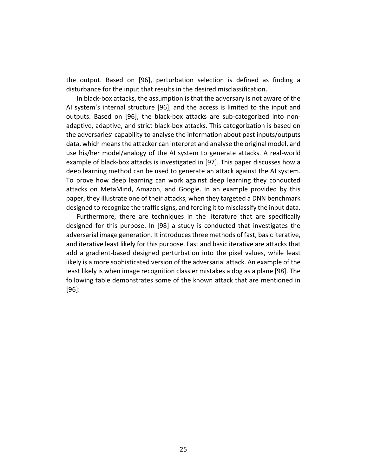the output. Based on [96], perturbation selection is defined as finding a disturbance for the input that results in the desired misclassification.

In black-box attacks, the assumption is that the adversary is not aware of the AI system's internal structure [96], and the access is limited to the input and outputs. Based on [96], the black-box attacks are sub-categorized into nonadaptive, adaptive, and strict black-box attacks. This categorization is based on the adversaries' capability to analyse the information about past inputs/outputs data, which means the attacker can interpret and analyse the original model, and use his/her model/analogy of the AI system to generate attacks. A real-world example of black-box attacks is investigated in [97]. This paper discusses how a deep learning method can be used to generate an attack against the AI system. To prove how deep learning can work against deep learning they conducted attacks on MetaMind, Amazon, and Google. In an example provided by this paper, they illustrate one of their attacks, when they targeted a DNN benchmark designed to recognize the traffic signs, and forcing it to misclassify the input data.

Furthermore, there are techniques in the literature that are specifically designed for this purpose. In [98] a study is conducted that investigates the adversarial image generation. It introduces three methods of fast, basic iterative, and iterative least likely for this purpose. Fast and basic iterative are attacks that add a gradient-based designed perturbation into the pixel values, while least likely is a more sophisticated version of the adversarial attack. An example of the least likely is when image recognition classier mistakes a dog as a plane [98]. The following table demonstrates some of the known attack that are mentioned in [96]: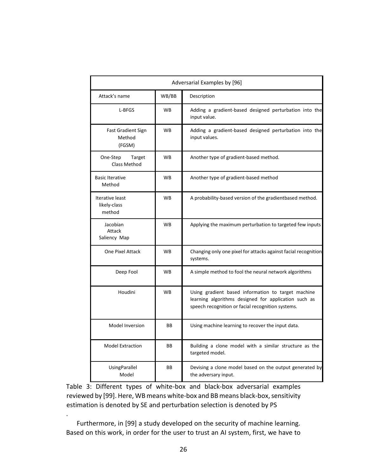| Adversarial Examples by [96]                  |           |                                                                                                                                                                 |  |  |
|-----------------------------------------------|-----------|-----------------------------------------------------------------------------------------------------------------------------------------------------------------|--|--|
| Attack's name                                 | WB/BB     | Description                                                                                                                                                     |  |  |
| L-BFGS                                        | <b>WB</b> | Adding a gradient-based designed perturbation into the<br>input value.                                                                                          |  |  |
| <b>Fast Gradient Sign</b><br>Method<br>(FGSM) | <b>WB</b> | Adding a gradient-based designed perturbation into the<br>input values.                                                                                         |  |  |
| One-Step<br>Target<br>Class Method            | <b>WB</b> | Another type of gradient-based method.                                                                                                                          |  |  |
| <b>Basic Iterative</b><br>Method              | <b>WB</b> | Another type of gradient-based method                                                                                                                           |  |  |
| Iterative least<br>likely-class<br>method     | <b>WB</b> | A probability-based version of the gradientbased method.                                                                                                        |  |  |
| Jacobian<br>Attack<br>Saliency Map            | <b>WB</b> | Applying the maximum perturbation to targeted few inputs                                                                                                        |  |  |
| One Pixel Attack                              | <b>WB</b> | Changing only one pixel for attacks against facial recognition<br>systems.                                                                                      |  |  |
| Deep Fool                                     | <b>WB</b> | A simple method to fool the neural network algorithms                                                                                                           |  |  |
| Houdini                                       | <b>WB</b> | Using gradient based information to target machine<br>learning algorithms designed for application such as<br>speech recognition or facial recognition systems. |  |  |
| Model Inversion                               | BB        | Using machine learning to recover the input data.                                                                                                               |  |  |
| <b>Model Extraction</b>                       | BB        | Building a clone model with a similar structure as the<br>targeted model.                                                                                       |  |  |
| <b>UsingParallel</b><br>Model                 | BB        | Devising a clone model based on the output generated by<br>the adversary input.                                                                                 |  |  |

Table 3: Different types of white-box and black-box adversarial examples reviewed by [99]. Here, WB means white-box and BB means black-box, sensitivity estimation is denoted by SE and perturbation selection is denoted by PS

Furthermore, in [99] a study developed on the security of machine learning. Based on this work, in order for the user to trust an AI system, first, we have to

.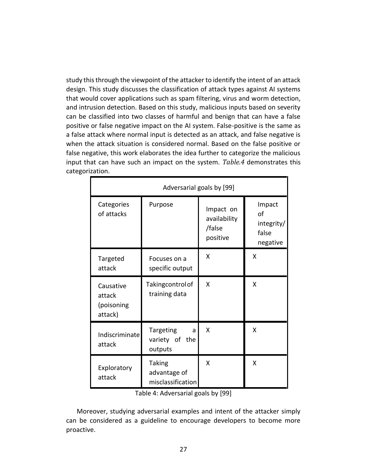study this through the viewpoint of the attacker to identify the intent of an attack design. This study discusses the classification of attack types against AI systems that would cover applications such as spam filtering, virus and worm detection, and intrusion detection. Based on this study, malicious inputs based on severity can be classified into two classes of harmful and benign that can have a false positive or false negative impact on the AI system. False-positive is the same as a false attack where normal input is detected as an attack, and false negative is when the attack situation is considered normal. Based on the false positive or false negative, this work elaborates the idea further to categorize the malicious input that can have such an impact on the system. *Table.4* demonstrates this categorization.

| Adversarial goals by [99]                    |                                                    |                                                 |                                                 |  |  |  |
|----------------------------------------------|----------------------------------------------------|-------------------------------------------------|-------------------------------------------------|--|--|--|
| Categories<br>of attacks                     | Purpose                                            | Impact on<br>availability<br>/false<br>positive | Impact<br>of<br>integrity/<br>false<br>negative |  |  |  |
| Targeted<br>attack                           | Focuses on a<br>specific output                    | X                                               | X                                               |  |  |  |
| Causative<br>attack<br>(poisoning<br>attack) | Takingcontrol of<br>training data                  | X                                               | X                                               |  |  |  |
| Indiscriminate<br>attack                     | Targeting<br>a<br>variety of the<br>outputs        | X                                               | X                                               |  |  |  |
| Exploratory<br>attack                        | <b>Taking</b><br>advantage of<br>misclassification | X                                               | X                                               |  |  |  |

Table 4: Adversarial goals by [99]

Moreover, studying adversarial examples and intent of the attacker simply can be considered as a guideline to encourage developers to become more proactive.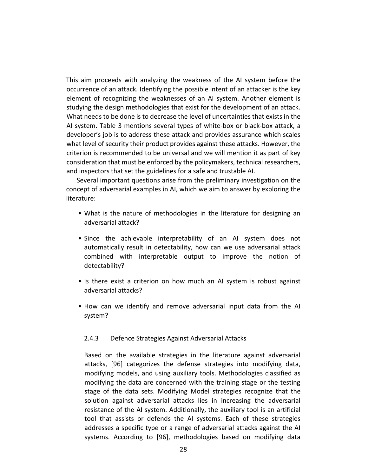This aim proceeds with analyzing the weakness of the AI system before the occurrence of an attack. Identifying the possible intent of an attacker is the key element of recognizing the weaknesses of an AI system. Another element is studying the design methodologies that exist for the development of an attack. What needs to be done is to decrease the level of uncertainties that exists in the AI system. Table 3 mentions several types of white-box or black-box attack, a developer's job is to address these attack and provides assurance which scales what level of security their product provides against these attacks. However, the criterion is recommended to be universal and we will mention it as part of key consideration that must be enforced by the policymakers, technical researchers, and inspectors that set the guidelines for a safe and trustable AI.

Several important questions arise from the preliminary investigation on the concept of adversarial examples in AI, which we aim to answer by exploring the literature:

- What is the nature of methodologies in the literature for designing an adversarial attack?
- Since the achievable interpretability of an AI system does not automatically result in detectability, how can we use adversarial attack combined with interpretable output to improve the notion of detectability?
- Is there exist a criterion on how much an AI system is robust against adversarial attacks?
- How can we identify and remove adversarial input data from the AI system?

#### 2.4.3 Defence Strategies Against Adversarial Attacks

Based on the available strategies in the literature against adversarial attacks, [96] categorizes the defense strategies into modifying data, modifying models, and using auxiliary tools. Methodologies classified as modifying the data are concerned with the training stage or the testing stage of the data sets. Modifying Model strategies recognize that the solution against adversarial attacks lies in increasing the adversarial resistance of the AI system. Additionally, the auxiliary tool is an artificial tool that assists or defends the AI systems. Each of these strategies addresses a specific type or a range of adversarial attacks against the AI systems. According to [96], methodologies based on modifying data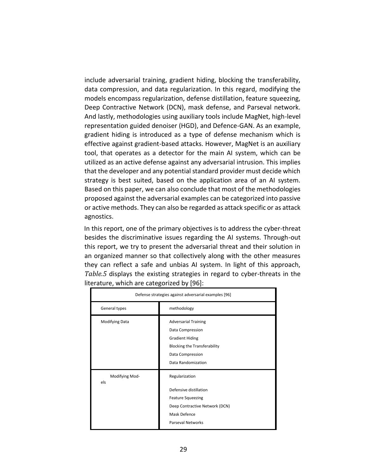include adversarial training, gradient hiding, blocking the transferability, data compression, and data regularization. In this regard, modifying the models encompass regularization, defense distillation, feature squeezing, Deep Contractive Network (DCN), mask defense, and Parseval network. And lastly, methodologies using auxiliary tools include MagNet, high-level representation guided denoiser (HGD), and Defence-GAN. As an example, gradient hiding is introduced as a type of defense mechanism which is effective against gradient-based attacks. However, MagNet is an auxiliary tool, that operates as a detector for the main AI system, which can be utilized as an active defense against any adversarial intrusion. This implies that the developer and any potential standard provider must decide which strategy is best suited, based on the application area of an AI system. Based on this paper, we can also conclude that most of the methodologies proposed against the adversarial examples can be categorized into passive or active methods. They can also be regarded as attack specific or as attack agnostics.

In this report, one of the primary objectives is to address the cyber-threat besides the discriminative issues regarding the AI systems. Through-out this report, we try to present the adversarial threat and their solution in an organized manner so that collectively along with the other measures they can reflect a safe and unbias AI system. In light of this approach, *Table.5* displays the existing strategies in regard to cyber-threats in the literature, which are categorized by [96]:

| Defense strategies against adversarial examples [96] |                                                                                                                                                            |  |  |
|------------------------------------------------------|------------------------------------------------------------------------------------------------------------------------------------------------------------|--|--|
| General types                                        | methodology                                                                                                                                                |  |  |
| <b>Modifying Data</b>                                | <b>Adversarial Training</b><br>Data Compression<br><b>Gradient Hiding</b><br><b>Blocking the Transferability</b><br>Data Compression<br>Data Randomization |  |  |
| Modifying Mod-<br>els                                | Regularization<br>Defensive distillation<br><b>Feature Squeezing</b><br>Deep Contractive Network (DCN)<br>Mask Defence<br><b>Parseval Networks</b>         |  |  |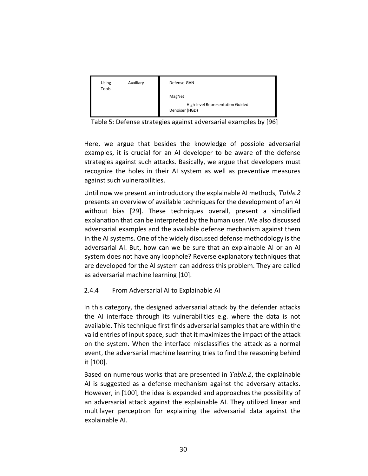| Using<br>Tools | Auxiliary | Defense-GAN                                        |
|----------------|-----------|----------------------------------------------------|
|                |           | MagNet                                             |
|                |           | High-level Representation Guided<br>Denoiser (HGD) |
|                |           |                                                    |

Table 5: Defense strategies against adversarial examples by [96]

Here, we argue that besides the knowledge of possible adversarial examples, it is crucial for an AI developer to be aware of the defense strategies against such attacks. Basically, we argue that developers must recognize the holes in their AI system as well as preventive measures against such vulnerabilities.

Until now we present an introductory the explainable AI methods, *Table.2* presents an overview of available techniques for the development of an AI without bias [29]. These techniques overall, present a simplified explanation that can be interpreted by the human user. We also discussed adversarial examples and the available defense mechanism against them in the AI systems. One of the widely discussed defense methodology is the adversarial AI. But, how can we be sure that an explainable AI or an AI system does not have any loophole? Reverse explanatory techniques that are developed for the AI system can address this problem. They are called as adversarial machine learning [10].

# 2.4.4 From Adversarial AI to Explainable AI

In this category, the designed adversarial attack by the defender attacks the AI interface through its vulnerabilities e.g. where the data is not available. This technique first finds adversarial samples that are within the valid entries of input space, such that it maximizes the impact of the attack on the system. When the interface misclassifies the attack as a normal event, the adversarial machine learning tries to find the reasoning behind it [100].

Based on numerous works that are presented in *Table.2*, the explainable AI is suggested as a defense mechanism against the adversary attacks. However, in [100], the idea is expanded and approaches the possibility of an adversarial attack against the explainable AI. They utilized linear and multilayer perceptron for explaining the adversarial data against the explainable AI.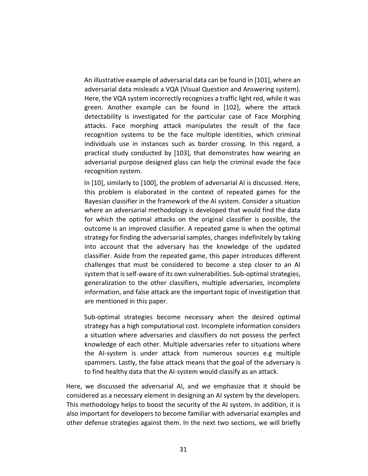An illustrative example of adversarial data can be found in [101], where an adversarial data misleads a VQA (Visual Question and Answering system). Here, the VQA system incorrectly recognizes a traffic light red, while it was green. Another example can be found in [102], where the attack detectability is investigated for the particular case of Face Morphing attacks. Face morphing attack manipulates the result of the face recognition systems to be the face multiple identities, which criminal individuals use in instances such as border crossing. In this regard, a practical study conducted by [103], that demonstrates how wearing an adversarial purpose designed glass can help the criminal evade the face recognition system.

In [10], similarly to [100], the problem of adversarial AI is discussed. Here, this problem is elaborated in the context of repeated games for the Bayesian classifier in the framework of the AI system. Consider a situation where an adversarial methodology is developed that would find the data for which the optimal attacks on the original classifier is possible, the outcome is an improved classifier. A repeated game is when the optimal strategy for finding the adversarial samples, changes indefinitely by taking into account that the adversary has the knowledge of the updated classifier. Aside from the repeated game, this paper introduces different challenges that must be considered to become a step closer to an AI system that is self-aware of its own vulnerabilities. Sub-optimal strategies, generalization to the other classifiers, multiple adversaries, incomplete information, and false attack are the important topic of investigation that are mentioned in this paper.

Sub-optimal strategies become necessary when the desired optimal strategy has a high computational cost. Incomplete information considers a situation where adversaries and classifiers do not possess the perfect knowledge of each other. Multiple adversaries refer to situations where the AI-system is under attack from numerous sources e.g multiple spammers. Lastly, the false attack means that the goal of the adversary is to find healthy data that the AI-system would classify as an attack.

Here, we discussed the adversarial AI, and we emphasize that it should be considered as a necessary element in designing an AI system by the developers. This methodology helps to boost the security of the AI system. In addition, it is also important for developers to become familiar with adversarial examples and other defense strategies against them. In the next two sections, we will briefly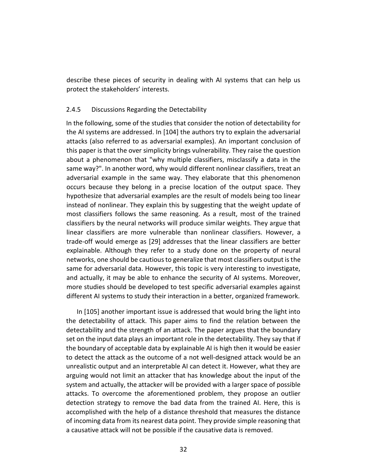describe these pieces of security in dealing with AI systems that can help us protect the stakeholders' interests.

### 2.4.5 Discussions Regarding the Detectability

In the following, some of the studies that consider the notion of detectability for the AI systems are addressed. In [104] the authors try to explain the adversarial attacks (also referred to as adversarial examples). An important conclusion of this paper is that the over simplicity brings vulnerability. They raise the question about a phenomenon that "why multiple classifiers, misclassify a data in the same way?". In another word, why would different nonlinear classifiers, treat an adversarial example in the same way. They elaborate that this phenomenon occurs because they belong in a precise location of the output space. They hypothesize that adversarial examples are the result of models being too linear instead of nonlinear. They explain this by suggesting that the weight update of most classifiers follows the same reasoning. As a result, most of the trained classifiers by the neural networks will produce similar weights. They argue that linear classifiers are more vulnerable than nonlinear classifiers. However, a trade-off would emerge as [29] addresses that the linear classifiers are better explainable. Although they refer to a study done on the property of neural networks, one should be cautious to generalize that most classifiers output is the same for adversarial data. However, this topic is very interesting to investigate, and actually, it may be able to enhance the security of AI systems. Moreover, more studies should be developed to test specific adversarial examples against different AI systems to study their interaction in a better, organized framework.

In [105] another important issue is addressed that would bring the light into the detectability of attack. This paper aims to find the relation between the detectability and the strength of an attack. The paper argues that the boundary set on the input data plays an important role in the detectability. They say that if the boundary of acceptable data by explainable AI is high then it would be easier to detect the attack as the outcome of a not well-designed attack would be an unrealistic output and an interpretable AI can detect it. However, what they are arguing would not limit an attacker that has knowledge about the input of the system and actually, the attacker will be provided with a larger space of possible attacks. To overcome the aforementioned problem, they propose an outlier detection strategy to remove the bad data from the trained AI. Here, this is accomplished with the help of a distance threshold that measures the distance of incoming data from its nearest data point. They provide simple reasoning that a causative attack will not be possible if the causative data is removed.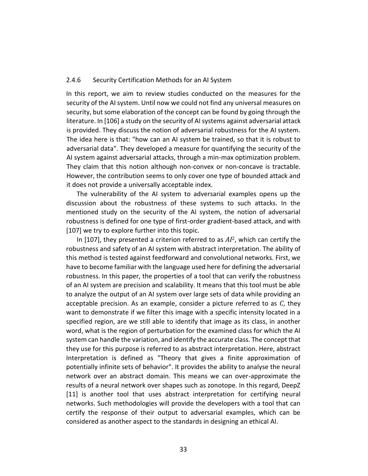#### 2.4.6 Security Certification Methods for an AI System

In this report, we aim to review studies conducted on the measures for the security of the AI system. Until now we could not find any universal measures on security, but some elaboration of the concept can be found by going through the literature. In [106] a study on the security of AI systems against adversarial attack is provided. They discuss the notion of adversarial robustness for the AI system. The idea here is that: "how can an AI system be trained, so that it is robust to adversarial data". They developed a measure for quantifying the security of the AI system against adversarial attacks, through a min-max optimization problem. They claim that this notion although non-convex or non-concave is tractable. However, the contribution seems to only cover one type of bounded attack and it does not provide a universally acceptable index.

The vulnerability of the AI system to adversarial examples opens up the discussion about the robustness of these systems to such attacks. In the mentioned study on the security of the AI system, the notion of adversarial robustness is defined for one type of first-order gradient-based attack, and with [107] we try to explore further into this topic.

In [107], they presented a criterion referred to as *AI*<sup>2</sup>, which can certify the robustness and safety of an AI system with abstract interpretation. The ability of this method is tested against feedforward and convolutional networks. First, we have to become familiar with the language used here for defining the adversarial robustness. In this paper, the properties of a tool that can verify the robustness of an AI system are precision and scalability. It means that this tool must be able to analyze the output of an AI system over large sets of data while providing an acceptable precision. As an example, consider a picture referred to as *C*, they want to demonstrate if we filter this image with a specific intensity located in a specified region, are we still able to identify that image as its class, in another word, what is the region of perturbation for the examined class for which the AI system can handle the variation, and identify the accurate class. The concept that they use for this purpose is referred to as abstract interpretation. Here, abstract Interpretation is defined as "Theory that gives a finite approximation of potentially infinite sets of behavior". It provides the ability to analyse the neural network over an abstract domain. This means we can over-approximate the results of a neural network over shapes such as zonotope. In this regard, DeepZ [11] is another tool that uses abstract interpretation for certifying neural networks. Such methodologies will provide the developers with a tool that can certify the response of their output to adversarial examples, which can be considered as another aspect to the standards in designing an ethical AI.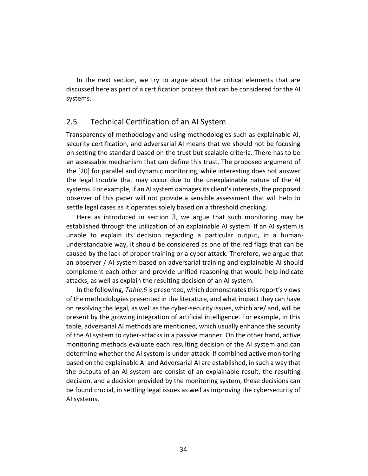In the next section, we try to argue about the critical elements that are discussed here as part of a certification process that can be considered for the AI systems.

# 2.5 Technical Certification of an AI System

Transparency of methodology and using methodologies such as explainable AI, security certification, and adversarial AI means that we should not be focusing on setting the standard based on the trust but scalable criteria. There has to be an assessable mechanism that can define this trust. The proposed argument of the [20] for parallel and dynamic monitoring, while interesting does not answer the legal trouble that may occur due to the unexplainable nature of the AI systems. For example, if an AI system damages its client's interests, the proposed observer of this paper will not provide a sensible assessment that will help to settle legal cases as it operates solely based on a threshold checking.

Here as introduced in section 3, we argue that such monitoring may be established through the utilization of an explainable AI system. If an AI system is unable to explain its decision regarding a particular output, in a humanunderstandable way, it should be considered as one of the red flags that can be caused by the lack of proper training or a cyber attack. Therefore, we argue that an observer / AI system based on adversarial training and explainable AI should complement each other and provide unified reasoning that would help indicate attacks, as well as explain the resulting decision of an AI system.

In the following, *Table.6* is presented, which demonstrates this report's views of the methodologies presented in the literature, and what impact they can have on resolving the legal, as well as the cyber-security issues, which are/ and, will be present by the growing integration of artificial intelligence. For example, in this table, adversarial AI methods are mentioned, which usually enhance the security of the AI system to cyber-attacks in a passive manner. On the other hand, active monitoring methods evaluate each resulting decision of the AI system and can determine whether the AI system is under attack. If combined active monitoring based on the explainable AI and Adversarial AI are established, in such a way that the outputs of an AI system are consist of an explainable result, the resulting decision, and a decision provided by the monitoring system, these decisions can be found crucial, in settling legal issues as well as improving the cybersecurity of AI systems.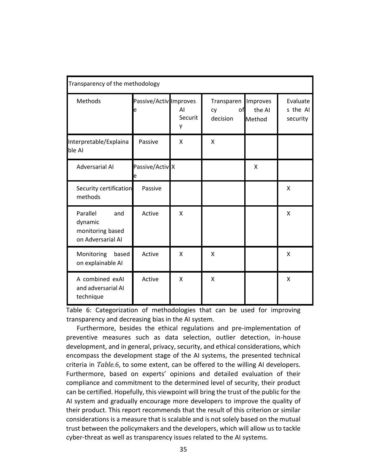| Transparency of the methodology                                     |                             |                    |                                    |                              |                                  |  |
|---------------------------------------------------------------------|-----------------------------|--------------------|------------------------------------|------------------------------|----------------------------------|--|
| Methods                                                             | Passive/Activ Improves<br>e | AI<br>Securit<br>у | Transparen<br>of<br>cy<br>decision | Improves<br>the AI<br>Method | Evaluate<br>s the AI<br>security |  |
| Interpretable/Explaina<br>ble Al                                    | Passive                     | X                  | X                                  |                              |                                  |  |
| <b>Adversarial AI</b>                                               | Passive/Activ X<br>е        |                    |                                    | X                            |                                  |  |
| Security certification<br>methods                                   | Passive                     |                    |                                    |                              | X                                |  |
| Parallel<br>and<br>dynamic<br>monitoring based<br>on Adversarial AI | Active                      | $\mathsf{x}$       |                                    |                              | X                                |  |
| Monitoring<br>based<br>on explainable AI                            | Active                      | X                  | X                                  |                              | X                                |  |
| A combined exAl<br>and adversarial AI<br>technique                  | Active                      | X                  | X                                  |                              | X                                |  |

Table 6: Categorization of methodologies that can be used for improving transparency and decreasing bias in the AI system.

Furthermore, besides the ethical regulations and pre-implementation of preventive measures such as data selection, outlier detection, in-house development, and in general, privacy, security, and ethical considerations, which encompass the development stage of the AI systems, the presented technical criteria in *Table.6*, to some extent, can be offered to the willing AI developers. Furthermore, based on experts' opinions and detailed evaluation of their compliance and commitment to the determined level of security, their product can be certified. Hopefully, this viewpoint will bring the trust of the public for the AI system and gradually encourage more developers to improve the quality of their product. This report recommends that the result of this criterion or similar considerations is a measure that is scalable and is not solely based on the mutual trust between the policymakers and the developers, which will allow us to tackle cyber-threat as well as transparency issues related to the AI systems.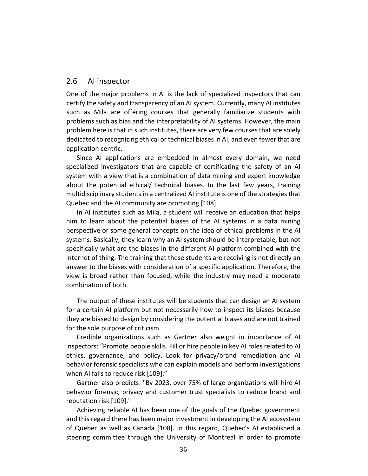## 2.6 AI inspector

One of the major problems in AI is the lack of specialized inspectors that can certify the safety and transparency of an AI system. Currently, many AI institutes such as Mila are offering courses that generally familiarize students with problems such as bias and the interpretability of AI systems. However, the main problem here is that in such institutes, there are very few courses that are solely dedicated to recognizing ethical or technical biases in AI, and even fewer that are application centric.

Since AI applications are embedded in almost every domain, we need specialized investigators that are capable of certificating the safety of an AI system with a view that is a combination of data mining and expert knowledge about the potential ethical/ technical biases. In the last few years, training multidisciplinary students in a centralized AI institute is one of the strategies that Quebec and the AI community are promoting [108].

In AI institutes such as Mila, a student will receive an education that helps him to learn about the potential biases of the AI systems in a data mining perspective or some general concepts on the idea of ethical problems in the AI systems. Basically, they learn why an AI system should be interpretable, but not specifically what are the biases in the different AI platform combined with the internet of thing. The training that these students are receiving is not directly an answer to the biases with consideration of a specific application. Therefore, the view is broad rather than focused, while the industry may need a moderate combination of both.

The output of these institutes will be students that can design an AI system for a certain AI platform but not necessarily how to inspect its biases because they are biased to design by considering the potential biases and are not trained for the sole purpose of criticism.

Credible organizations such as Gartner also weight in importance of AI inspectors: "Promote people skills. Fill or hire people in key AI roles related to AI ethics, governance, and policy. Look for privacy/brand remediation and AI behavior forensic specialists who can explain models and perform investigations when AI fails to reduce risk [109]."

Gartner also predicts: "By 2023, over 75% of large organizations will hire AI behavior forensic, privacy and customer trust specialists to reduce brand and reputation risk [109]."

Achieving reliable AI has been one of the goals of the Quebec government and this regard there has been major investment in developing the AI ecosystem of Quebec as well as Canada [108]. In this regard, Quebec's AI established a steering committee through the University of Montreal in order to promote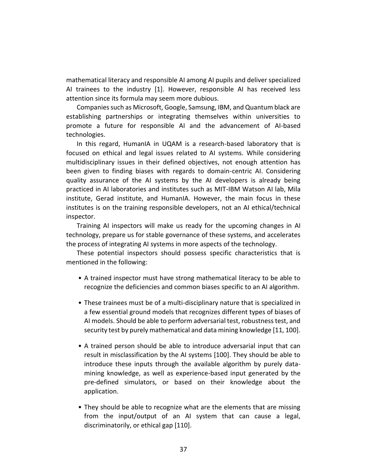mathematical literacy and responsible AI among AI pupils and deliver specialized AI trainees to the industry [1]. However, responsible AI has received less attention since its formula may seem more dubious.

Companies such as Microsoft, Google, Samsung, IBM, and Quantum black are establishing partnerships or integrating themselves within universities to promote a future for responsible AI and the advancement of AI-based technologies.

In this regard, HumanIA in UQAM is a research-based laboratory that is focused on ethical and legal issues related to AI systems. While considering multidisciplinary issues in their defined objectives, not enough attention has been given to finding biases with regards to domain-centric AI. Considering quality assurance of the AI systems by the AI developers is already being practiced in AI laboratories and institutes such as MIT-IBM Watson AI lab, Mila institute, Gerad institute, and HumanIA. However, the main focus in these institutes is on the training responsible developers, not an AI ethical/technical inspector.

Training AI inspectors will make us ready for the upcoming changes in AI technology, prepare us for stable governance of these systems, and accelerates the process of integrating AI systems in more aspects of the technology.

These potential inspectors should possess specific characteristics that is mentioned in the following:

- A trained inspector must have strong mathematical literacy to be able to recognize the deficiencies and common biases specific to an AI algorithm.
- These trainees must be of a multi-disciplinary nature that is specialized in a few essential ground models that recognizes different types of biases of AI models. Should be able to perform adversarial test, robustness test, and security test by purely mathematical and data mining knowledge [11, 100].
- A trained person should be able to introduce adversarial input that can result in misclassification by the AI systems [100]. They should be able to introduce these inputs through the available algorithm by purely datamining knowledge, as well as experience-based input generated by the pre-defined simulators, or based on their knowledge about the application.
- They should be able to recognize what are the elements that are missing from the input/output of an AI system that can cause a legal, discriminatorily, or ethical gap [110].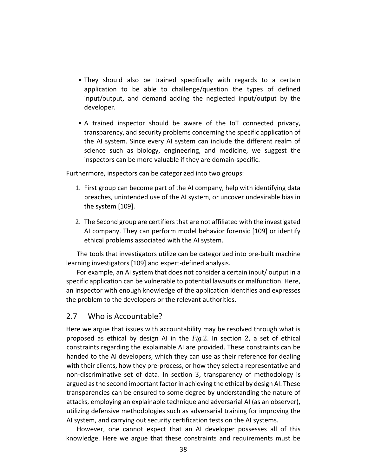- They should also be trained specifically with regards to a certain application to be able to challenge/question the types of defined input/output, and demand adding the neglected input/output by the developer.
- A trained inspector should be aware of the IoT connected privacy, transparency, and security problems concerning the specific application of the AI system. Since every AI system can include the different realm of science such as biology, engineering, and medicine, we suggest the inspectors can be more valuable if they are domain-specific.

Furthermore, inspectors can be categorized into two groups:

- 1. First group can become part of the AI company, help with identifying data breaches, unintended use of the AI system, or uncover undesirable bias in the system [109].
- 2. The Second group are certifiers that are not affiliated with the investigated AI company. They can perform model behavior forensic [109] or identify ethical problems associated with the AI system.

The tools that investigators utilize can be categorized into pre-built machine learning investigators [109] and expert-defined analysis.

For example, an AI system that does not consider a certain input/ output in a specific application can be vulnerable to potential lawsuits or malfunction. Here, an inspector with enough knowledge of the application identifies and expresses the problem to the developers or the relevant authorities.

### 2.7 Who is Accountable?

Here we argue that issues with accountability may be resolved through what is proposed as ethical by design AI in the *Fig.*2. In section 2, a set of ethical constraints regarding the explainable AI are provided. These constraints can be handed to the AI developers, which they can use as their reference for dealing with their clients, how they pre-process, or how they select a representative and non-discriminative set of data. In section 3, transparency of methodology is argued as the second important factor in achieving the ethical by design AI. These transparencies can be ensured to some degree by understanding the nature of attacks, employing an explainable technique and adversarial AI (as an observer), utilizing defensive methodologies such as adversarial training for improving the AI system, and carrying out security certification tests on the AI systems.

However, one cannot expect that an AI developer possesses all of this knowledge. Here we argue that these constraints and requirements must be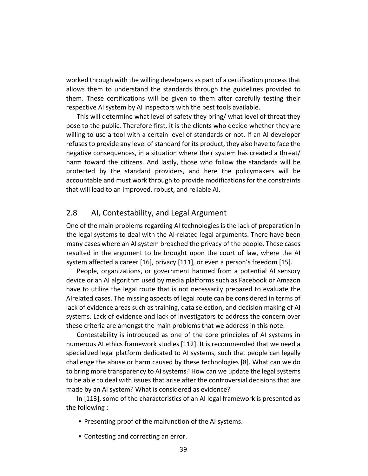worked through with the willing developers as part of a certification process that allows them to understand the standards through the guidelines provided to them. These certifications will be given to them after carefully testing their respective AI system by AI inspectors with the best tools available.

This will determine what level of safety they bring/ what level of threat they pose to the public. Therefore first, it is the clients who decide whether they are willing to use a tool with a certain level of standards or not. If an AI developer refuses to provide any level of standard for its product, they also have to face the negative consequences, in a situation where their system has created a threat/ harm toward the citizens. And lastly, those who follow the standards will be protected by the standard providers, and here the policymakers will be accountable and must work through to provide modifications for the constraints that will lead to an improved, robust, and reliable AI.

### 2.8 AI, Contestability, and Legal Argument

One of the main problems regarding AI technologies is the lack of preparation in the legal systems to deal with the AI-related legal arguments. There have been many cases where an AI system breached the privacy of the people. These cases resulted in the argument to be brought upon the court of law, where the AI system affected a career [16], privacy [111], or even a person's freedom [15].

People, organizations, or government harmed from a potential AI sensory device or an AI algorithm used by media platforms such as Facebook or Amazon have to utilize the legal route that is not necessarily prepared to evaluate the AIrelated cases. The missing aspects of legal route can be considered in terms of lack of evidence areas such as training, data selection, and decision making of AI systems. Lack of evidence and lack of investigators to address the concern over these criteria are amongst the main problems that we address in this note.

Contestability is introduced as one of the core principles of AI systems in numerous AI ethics framework studies [112]. It is recommended that we need a specialized legal platform dedicated to AI systems, such that people can legally challenge the abuse or harm caused by these technologies [8]. What can we do to bring more transparency to AI systems? How can we update the legal systems to be able to deal with issues that arise after the controversial decisions that are made by an AI system? What is considered as evidence?

In [113], some of the characteristics of an AI legal framework is presented as the following :

- Presenting proof of the malfunction of the AI systems.
- Contesting and correcting an error.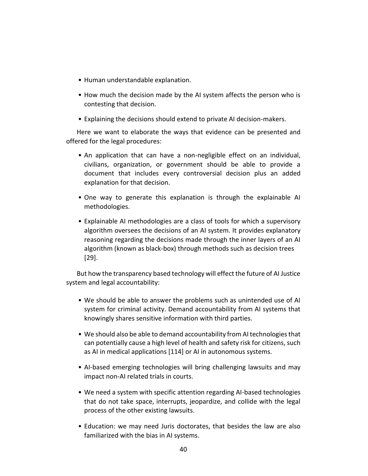- Human understandable explanation.
- How much the decision made by the AI system affects the person who is contesting that decision.
- Explaining the decisions should extend to private AI decision-makers.

Here we want to elaborate the ways that evidence can be presented and offered for the legal procedures:

- An application that can have a non-negligible effect on an individual, civilians, organization, or government should be able to provide a document that includes every controversial decision plus an added explanation for that decision.
- One way to generate this explanation is through the explainable AI methodologies.
- Explainable AI methodologies are a class of tools for which a supervisory algorithm oversees the decisions of an AI system. It provides explanatory reasoning regarding the decisions made through the inner layers of an AI algorithm (known as black-box) through methods such as decision trees [29].

But how the transparency based technology will effect the future of AI Justice system and legal accountability:

- We should be able to answer the problems such as unintended use of AI system for criminal activity. Demand accountability from AI systems that knowingly shares sensitive information with third parties.
- We should also be able to demand accountability from AI technologies that can potentially cause a high level of health and safety risk for citizens, such as AI in medical applications [114] or AI in autonomous systems.
- AI-based emerging technologies will bring challenging lawsuits and may impact non-AI related trials in courts.
- We need a system with specific attention regarding AI-based technologies that do not take space, interrupts, jeopardize, and collide with the legal process of the other existing lawsuits.
- Education: we may need Juris doctorates, that besides the law are also familiarized with the bias in AI systems.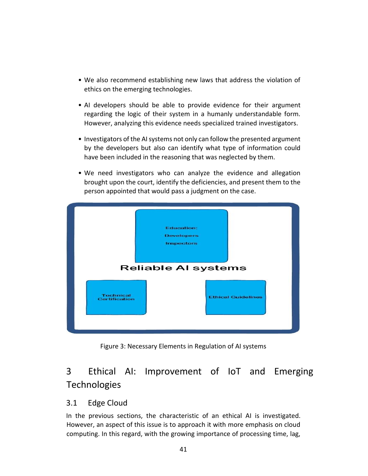- We also recommend establishing new laws that address the violation of ethics on the emerging technologies.
- AI developers should be able to provide evidence for their argument regarding the logic of their system in a humanly understandable form. However, analyzing this evidence needs specialized trained investigators.
- Investigators of the AI systems not only can follow the presented argument by the developers but also can identify what type of information could have been included in the reasoning that was neglected by them.
- We need investigators who can analyze the evidence and allegation brought upon the court, identify the deficiencies, and present them to the person appointed that would pass a judgment on the case.



Figure 3: Necessary Elements in Regulation of AI systems

# 3 Ethical AI: Improvement of IoT and Emerging **Technologies**

# 3.1 Edge Cloud

In the previous sections, the characteristic of an ethical AI is investigated. However, an aspect of this issue is to approach it with more emphasis on cloud computing. In this regard, with the growing importance of processing time, lag,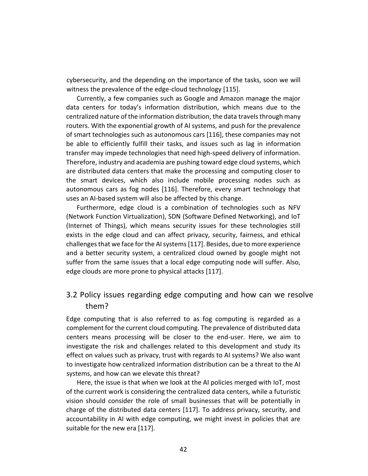cybersecurity, and the depending on the importance of the tasks, soon we will witness the prevalence of the edge-cloud technology [115].

Currently, a few companies such as Google and Amazon manage the major data centers for today's information distribution, which means due to the centralized nature of the information distribution, the data travels through many routers. With the exponential growth of AI systems, and push for the prevalence of smart technologies such as autonomous cars [116], these companies may not be able to efficiently fulfill their tasks, and issues such as lag in information transfer may impede technologies that need high-speed delivery of information. Therefore, industry and academia are pushing toward edge cloud systems, which are distributed data centers that make the processing and computing closer to the smart devices, which also include mobile processing nodes such as autonomous cars as fog nodes [116]. Therefore, every smart technology that uses an AI-based system will also be affected by this change.

Furthermore, edge cloud is a combination of technologies such as NFV (Network Function Virtualization), SDN (Software Defined Networking), and IoT (Internet of Things), which means security issues for these technologies still exists in the edge cloud and can affect privacy, security, fairness, and ethical challenges that we face for the AI systems [117]. Besides, due to more experience and a better security system, a centralized cloud owned by google might not suffer from the same issues that a local edge computing node will suffer. Also, edge clouds are more prone to physical attacks [117].

# 3.2 Policy issues regarding edge computing and how can we resolve them?

Edge computing that is also referred to as fog computing is regarded as a complement for the current cloud computing. The prevalence of distributed data centers means processing will be closer to the end-user. Here, we aim to investigate the risk and challenges related to this development and study its effect on values such as privacy, trust with regards to AI systems? We also want to investigate how centralized information distribution can be a threat to the AI systems, and how can we elevate this threat?

Here, the issue is that when we look at the AI policies merged with IoT, most of the current work is considering the centralized data centers, while a futuristic vision should consider the role of small businesses that will be potentially in charge of the distributed data centers [117]. To address privacy, security, and accountability in AI with edge computing, we might invest in policies that are suitable for the new era [117].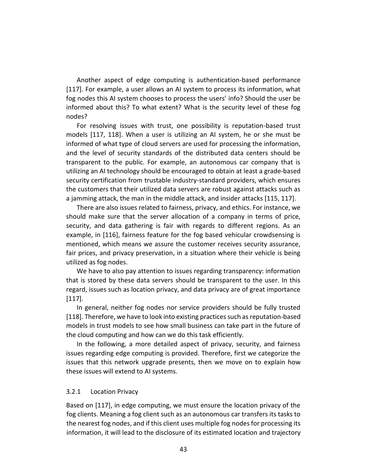Another aspect of edge computing is authentication-based performance [117]. For example, a user allows an AI system to process its information, what fog nodes this AI system chooses to process the users' info? Should the user be informed about this? To what extent? What is the security level of these fog nodes?

For resolving issues with trust, one possibility is reputation-based trust models [117, 118]. When a user is utilizing an AI system, he or she must be informed of what type of cloud servers are used for processing the information, and the level of security standards of the distributed data centers should be transparent to the public. For example, an autonomous car company that is utilizing an AI technology should be encouraged to obtain at least a grade-based security certification from trustable industry-standard providers, which ensures the customers that their utilized data servers are robust against attacks such as a jamming attack, the man in the middle attack, and insider attacks [115, 117].

There are also issues related to fairness, privacy, and ethics. For instance, we should make sure that the server allocation of a company in terms of price, security, and data gathering is fair with regards to different regions. As an example, in [116], fairness feature for the fog based vehicular crowdsensing is mentioned, which means we assure the customer receives security assurance, fair prices, and privacy preservation, in a situation where their vehicle is being utilized as fog nodes.

We have to also pay attention to issues regarding transparency: information that is stored by these data servers should be transparent to the user. In this regard, issues such as location privacy, and data privacy are of great importance [117].

In general, neither fog nodes nor service providers should be fully trusted [118]. Therefore, we have to look into existing practices such as reputation-based models in trust models to see how small business can take part in the future of the cloud computing and how can we do this task efficiently.

In the following, a more detailed aspect of privacy, security, and fairness issues regarding edge computing is provided. Therefore, first we categorize the issues that this network upgrade presents, then we move on to explain how these issues will extend to AI systems.

#### 3.2.1 Location Privacy

Based on [117], in edge computing, we must ensure the location privacy of the fog clients. Meaning a fog client such as an autonomous car transfers its tasks to the nearest fog nodes, and if this client uses multiple fog nodes for processing its information, it will lead to the disclosure of its estimated location and trajectory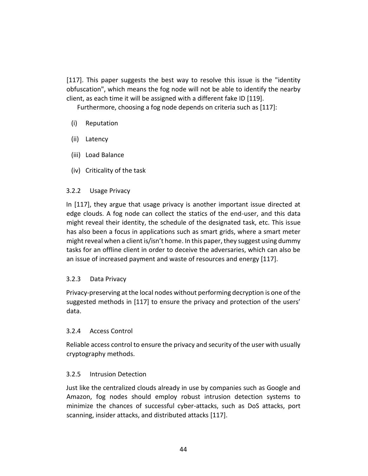[117]. This paper suggests the best way to resolve this issue is the "identity obfuscation", which means the fog node will not be able to identify the nearby client, as each time it will be assigned with a different fake ID [119].

Furthermore, choosing a fog node depends on criteria such as [117]:

- (i) Reputation
- (ii) Latency
- (iii) Load Balance
- (iv) Criticality of the task

### 3.2.2 Usage Privacy

In [117], they argue that usage privacy is another important issue directed at edge clouds. A fog node can collect the statics of the end-user, and this data might reveal their identity, the schedule of the designated task, etc. This issue has also been a focus in applications such as smart grids, where a smart meter might reveal when a client is/isn't home. In this paper, they suggest using dummy tasks for an offline client in order to deceive the adversaries, which can also be an issue of increased payment and waste of resources and energy [117].

### 3.2.3 Data Privacy

Privacy-preserving at the local nodes without performing decryption is one of the suggested methods in [117] to ensure the privacy and protection of the users' data.

### 3.2.4 Access Control

Reliable access control to ensure the privacy and security of the user with usually cryptography methods.

### 3.2.5 Intrusion Detection

Just like the centralized clouds already in use by companies such as Google and Amazon, fog nodes should employ robust intrusion detection systems to minimize the chances of successful cyber-attacks, such as DoS attacks, port scanning, insider attacks, and distributed attacks [117].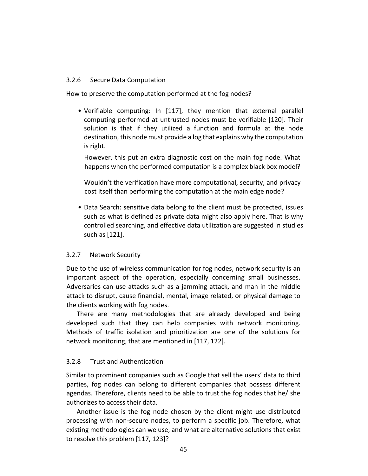#### 3.2.6 Secure Data Computation

How to preserve the computation performed at the fog nodes?

• Verifiable computing: In [117], they mention that external parallel computing performed at untrusted nodes must be verifiable [120]. Their solution is that if they utilized a function and formula at the node destination, this node must provide a log that explains why the computation is right.

However, this put an extra diagnostic cost on the main fog node. What happens when the performed computation is a complex black box model?

Wouldn't the verification have more computational, security, and privacy cost itself than performing the computation at the main edge node?

• Data Search: sensitive data belong to the client must be protected, issues such as what is defined as private data might also apply here. That is why controlled searching, and effective data utilization are suggested in studies such as [121].

### 3.2.7 Network Security

Due to the use of wireless communication for fog nodes, network security is an important aspect of the operation, especially concerning small businesses. Adversaries can use attacks such as a jamming attack, and man in the middle attack to disrupt, cause financial, mental, image related, or physical damage to the clients working with fog nodes.

There are many methodologies that are already developed and being developed such that they can help companies with network monitoring. Methods of traffic isolation and prioritization are one of the solutions for network monitoring, that are mentioned in [117, 122].

### 3.2.8 Trust and Authentication

Similar to prominent companies such as Google that sell the users' data to third parties, fog nodes can belong to different companies that possess different agendas. Therefore, clients need to be able to trust the fog nodes that he/ she authorizes to access their data.

Another issue is the fog node chosen by the client might use distributed processing with non-secure nodes, to perform a specific job. Therefore, what existing methodologies can we use, and what are alternative solutions that exist to resolve this problem [117, 123]?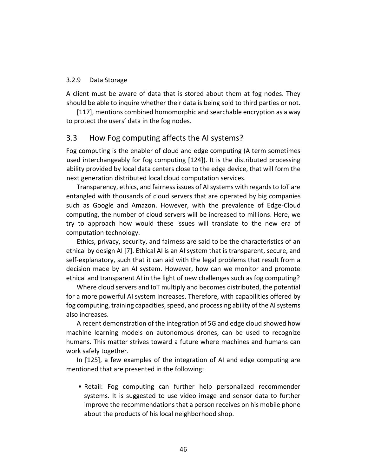#### 3.2.9 Data Storage

A client must be aware of data that is stored about them at fog nodes. They should be able to inquire whether their data is being sold to third parties or not.

[117], mentions combined homomorphic and searchable encryption as a way to protect the users' data in the fog nodes.

### 3.3 How Fog computing affects the AI systems?

Fog computing is the enabler of cloud and edge computing (A term sometimes used interchangeably for fog computing [124]). It is the distributed processing ability provided by local data centers close to the edge device, that will form the next generation distributed local cloud computation services.

Transparency, ethics, and fairness issues of AI systems with regards to IoT are entangled with thousands of cloud servers that are operated by big companies such as Google and Amazon. However, with the prevalence of Edge-Cloud computing, the number of cloud servers will be increased to millions. Here, we try to approach how would these issues will translate to the new era of computation technology.

Ethics, privacy, security, and fairness are said to be the characteristics of an ethical by design AI [7]. Ethical AI is an AI system that is transparent, secure, and self-explanatory, such that it can aid with the legal problems that result from a decision made by an AI system. However, how can we monitor and promote ethical and transparent AI in the light of new challenges such as fog computing?

Where cloud servers and IoT multiply and becomes distributed, the potential for a more powerful AI system increases. Therefore, with capabilities offered by fog computing, training capacities, speed, and processing ability of the AI systems also increases.

A recent demonstration of the integration of 5G and edge cloud showed how machine learning models on autonomous drones, can be used to recognize humans. This matter strives toward a future where machines and humans can work safely together.

In [125], a few examples of the integration of AI and edge computing are mentioned that are presented in the following:

• Retail: Fog computing can further help personalized recommender systems. It is suggested to use video image and sensor data to further improve the recommendations that a person receives on his mobile phone about the products of his local neighborhood shop.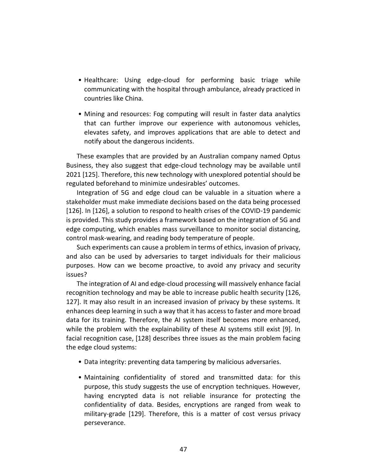- Healthcare: Using edge-cloud for performing basic triage while communicating with the hospital through ambulance, already practiced in countries like China.
- Mining and resources: Fog computing will result in faster data analytics that can further improve our experience with autonomous vehicles, elevates safety, and improves applications that are able to detect and notify about the dangerous incidents.

These examples that are provided by an Australian company named Optus Business, they also suggest that edge-cloud technology may be available until 2021 [125]. Therefore, this new technology with unexplored potential should be regulated beforehand to minimize undesirables' outcomes.

Integration of 5G and edge cloud can be valuable in a situation where a stakeholder must make immediate decisions based on the data being processed [126]. In [126], a solution to respond to health crises of the COVID-19 pandemic is provided. This study provides a framework based on the integration of 5G and edge computing, which enables mass surveillance to monitor social distancing, control mask-wearing, and reading body temperature of people.

Such experiments can cause a problem in terms of ethics, invasion of privacy, and also can be used by adversaries to target individuals for their malicious purposes. How can we become proactive, to avoid any privacy and security issues?

The integration of AI and edge-cloud processing will massively enhance facial recognition technology and may be able to increase public health security [126, 127]. It may also result in an increased invasion of privacy by these systems. It enhances deep learning in such a way that it has access to faster and more broad data for its training. Therefore, the AI system itself becomes more enhanced, while the problem with the explainability of these AI systems still exist [9]. In facial recognition case, [128] describes three issues as the main problem facing the edge cloud systems:

- Data integrity: preventing data tampering by malicious adversaries.
- Maintaining confidentiality of stored and transmitted data: for this purpose, this study suggests the use of encryption techniques. However, having encrypted data is not reliable insurance for protecting the confidentiality of data. Besides, encryptions are ranged from weak to military-grade [129]. Therefore, this is a matter of cost versus privacy perseverance.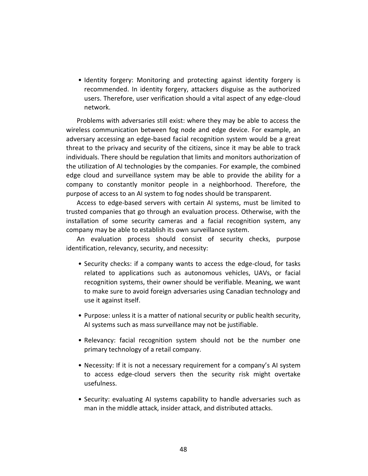• Identity forgery: Monitoring and protecting against identity forgery is recommended. In identity forgery, attackers disguise as the authorized users. Therefore, user verification should a vital aspect of any edge-cloud network.

Problems with adversaries still exist: where they may be able to access the wireless communication between fog node and edge device. For example, an adversary accessing an edge-based facial recognition system would be a great threat to the privacy and security of the citizens, since it may be able to track individuals. There should be regulation that limits and monitors authorization of the utilization of AI technologies by the companies. For example, the combined edge cloud and surveillance system may be able to provide the ability for a company to constantly monitor people in a neighborhood. Therefore, the purpose of access to an AI system to fog nodes should be transparent.

Access to edge-based servers with certain AI systems, must be limited to trusted companies that go through an evaluation process. Otherwise, with the installation of some security cameras and a facial recognition system, any company may be able to establish its own surveillance system.

An evaluation process should consist of security checks, purpose identification, relevancy, security, and necessity:

- Security checks: if a company wants to access the edge-cloud, for tasks related to applications such as autonomous vehicles, UAVs, or facial recognition systems, their owner should be verifiable. Meaning, we want to make sure to avoid foreign adversaries using Canadian technology and use it against itself.
- Purpose: unless it is a matter of national security or public health security, AI systems such as mass surveillance may not be justifiable.
- Relevancy: facial recognition system should not be the number one primary technology of a retail company.
- Necessity: If it is not a necessary requirement for a company's AI system to access edge-cloud servers then the security risk might overtake usefulness.
- Security: evaluating AI systems capability to handle adversaries such as man in the middle attack, insider attack, and distributed attacks.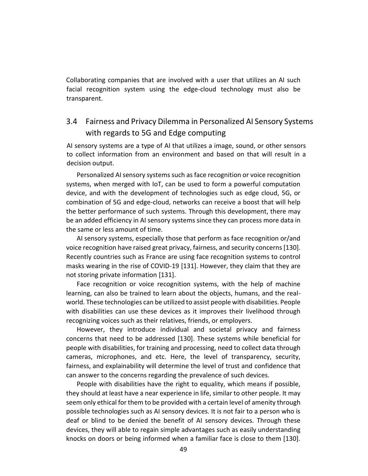Collaborating companies that are involved with a user that utilizes an AI such facial recognition system using the edge-cloud technology must also be transparent.

# 3.4 Fairness and Privacy Dilemma in Personalized AI Sensory Systems with regards to 5G and Edge computing

AI sensory systems are a type of AI that utilizes a image, sound, or other sensors to collect information from an environment and based on that will result in a decision output.

Personalized AI sensory systems such as face recognition or voice recognition systems, when merged with IoT, can be used to form a powerful computation device, and with the development of technologies such as edge cloud, 5G, or combination of 5G and edge-cloud, networks can receive a boost that will help the better performance of such systems. Through this development, there may be an added efficiency in AI sensory systems since they can process more data in the same or less amount of time.

AI sensory systems, especially those that perform as face recognition or/and voice recognition have raised great privacy, fairness, and security concerns [130]. Recently countries such as France are using face recognition systems to control masks wearing in the rise of COVID-19 [131]. However, they claim that they are not storing private information [131].

Face recognition or voice recognition systems, with the help of machine learning, can also be trained to learn about the objects, humans, and the realworld. These technologies can be utilized to assist people with disabilities. People with disabilities can use these devices as it improves their livelihood through recognizing voices such as their relatives, friends, or employers.

However, they introduce individual and societal privacy and fairness concerns that need to be addressed [130]. These systems while beneficial for people with disabilities, for training and processing, need to collect data through cameras, microphones, and etc. Here, the level of transparency, security, fairness, and explainability will determine the level of trust and confidence that can answer to the concerns regarding the prevalence of such devices.

People with disabilities have the right to equality, which means if possible, they should at least have a near experience in life, similar to other people. It may seem only ethical for them to be provided with a certain level of amenity through possible technologies such as AI sensory devices. It is not fair to a person who is deaf or blind to be denied the benefit of AI sensory devices. Through these devices, they will able to regain simple advantages such as easily understanding knocks on doors or being informed when a familiar face is close to them [130].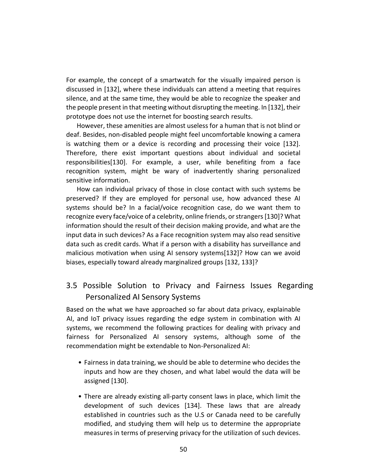For example, the concept of a smartwatch for the visually impaired person is discussed in [132], where these individuals can attend a meeting that requires silence, and at the same time, they would be able to recognize the speaker and the people present in that meeting without disrupting the meeting. In [132], their prototype does not use the internet for boosting search results.

However, these amenities are almost useless for a human that is not blind or deaf. Besides, non-disabled people might feel uncomfortable knowing a camera is watching them or a device is recording and processing their voice [132]. Therefore, there exist important questions about individual and societal responsibilities[130]. For example, a user, while benefiting from a face recognition system, might be wary of inadvertently sharing personalized sensitive information.

How can individual privacy of those in close contact with such systems be preserved? If they are employed for personal use, how advanced these AI systems should be? In a facial/voice recognition case, do we want them to recognize every face/voice of a celebrity, online friends, or strangers [130]? What information should the result of their decision making provide, and what are the input data in such devices? As a Face recognition system may also read sensitive data such as credit cards. What if a person with a disability has surveillance and malicious motivation when using AI sensory systems[132]? How can we avoid biases, especially toward already marginalized groups [132, 133]?

# 3.5 Possible Solution to Privacy and Fairness Issues Regarding Personalized AI Sensory Systems

Based on the what we have approached so far about data privacy, explainable AI, and IoT privacy issues regarding the edge system in combination with AI systems, we recommend the following practices for dealing with privacy and fairness for Personalized AI sensory systems, although some of the recommendation might be extendable to Non-Personalized AI:

- Fairness in data training, we should be able to determine who decides the inputs and how are they chosen, and what label would the data will be assigned [130].
- There are already existing all-party consent laws in place, which limit the development of such devices [134]. These laws that are already established in countries such as the U.S or Canada need to be carefully modified, and studying them will help us to determine the appropriate measures in terms of preserving privacy for the utilization of such devices.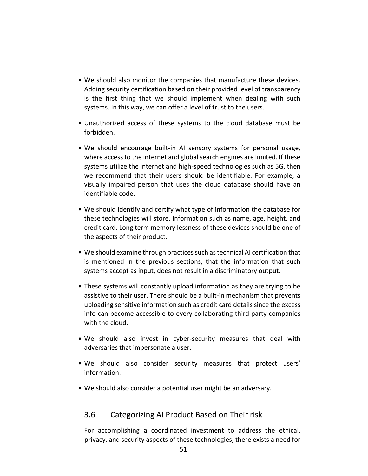- We should also monitor the companies that manufacture these devices. Adding security certification based on their provided level of transparency is the first thing that we should implement when dealing with such systems. In this way, we can offer a level of trust to the users.
- Unauthorized access of these systems to the cloud database must be forbidden.
- We should encourage built-in AI sensory systems for personal usage, where access to the internet and global search engines are limited. If these systems utilize the internet and high-speed technologies such as 5G, then we recommend that their users should be identifiable. For example, a visually impaired person that uses the cloud database should have an identifiable code.
- We should identify and certify what type of information the database for these technologies will store. Information such as name, age, height, and credit card. Long term memory lessness of these devices should be one of the aspects of their product.
- We should examine through practices such as technical AI certification that is mentioned in the previous sections, that the information that such systems accept as input, does not result in a discriminatory output.
- These systems will constantly upload information as they are trying to be assistive to their user. There should be a built-in mechanism that prevents uploading sensitive information such as credit card details since the excess info can become accessible to every collaborating third party companies with the cloud.
- We should also invest in cyber-security measures that deal with adversaries that impersonate a user.
- We should also consider security measures that protect users' information.
- We should also consider a potential user might be an adversary.

### 3.6 Categorizing AI Product Based on Their risk

For accomplishing a coordinated investment to address the ethical, privacy, and security aspects of these technologies, there exists a need for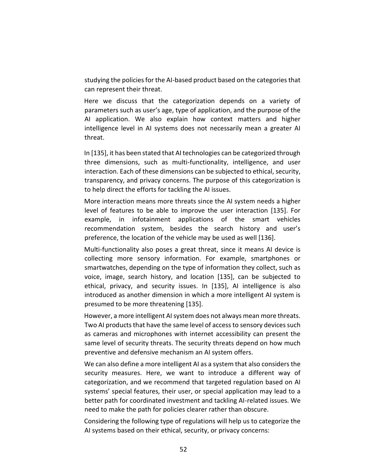studying the policies for the AI-based product based on the categories that can represent their threat.

Here we discuss that the categorization depends on a variety of parameters such as user's age, type of application, and the purpose of the AI application. We also explain how context matters and higher intelligence level in AI systems does not necessarily mean a greater AI threat.

In [135], it has been stated that AI technologies can be categorized through three dimensions, such as multi-functionality, intelligence, and user interaction. Each of these dimensions can be subjected to ethical, security, transparency, and privacy concerns. The purpose of this categorization is to help direct the efforts for tackling the AI issues.

More interaction means more threats since the AI system needs a higher level of features to be able to improve the user interaction [135]. For example, in infotainment applications of the smart vehicles recommendation system, besides the search history and user's preference, the location of the vehicle may be used as well [136].

Multi-functionality also poses a great threat, since it means AI device is collecting more sensory information. For example, smartphones or smartwatches, depending on the type of information they collect, such as voice, image, search history, and location [135], can be subjected to ethical, privacy, and security issues. In [135], AI intelligence is also introduced as another dimension in which a more intelligent AI system is presumed to be more threatening [135].

However, a more intelligent AI system does not always mean more threats. Two AI products that have the same level of access to sensory devices such as cameras and microphones with internet accessibility can present the same level of security threats. The security threats depend on how much preventive and defensive mechanism an AI system offers.

We can also define a more intelligent AI as a system that also considers the security measures. Here, we want to introduce a different way of categorization, and we recommend that targeted regulation based on AI systems' special features, their user, or special application may lead to a better path for coordinated investment and tackling AI-related issues. We need to make the path for policies clearer rather than obscure.

Considering the following type of regulations will help us to categorize the AI systems based on their ethical, security, or privacy concerns: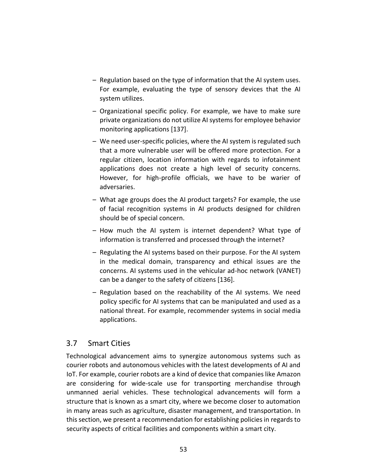- Regulation based on the type of information that the AI system uses. For example, evaluating the type of sensory devices that the AI system utilizes.
- Organizational specific policy. For example, we have to make sure private organizations do not utilize AI systems for employee behavior monitoring applications [137].
- We need user-specific policies, where the AI system is regulated such that a more vulnerable user will be offered more protection. For a regular citizen, location information with regards to infotainment applications does not create a high level of security concerns. However, for high-profile officials, we have to be warier of adversaries.
- What age groups does the AI product targets? For example, the use of facial recognition systems in AI products designed for children should be of special concern.
- How much the AI system is internet dependent? What type of information is transferred and processed through the internet?
- Regulating the AI systems based on their purpose. For the AI system in the medical domain, transparency and ethical issues are the concerns. AI systems used in the vehicular ad-hoc network (VANET) can be a danger to the safety of citizens [136].
- Regulation based on the reachability of the AI systems. We need policy specific for AI systems that can be manipulated and used as a national threat. For example, recommender systems in social media applications.

### 3.7 Smart Cities

Technological advancement aims to synergize autonomous systems such as courier robots and autonomous vehicles with the latest developments of AI and IoT. For example, courier robots are a kind of device that companies like Amazon are considering for wide-scale use for transporting merchandise through unmanned aerial vehicles. These technological advancements will form a structure that is known as a smart city, where we become closer to automation in many areas such as agriculture, disaster management, and transportation. In this section, we present a recommendation for establishing policies in regards to security aspects of critical facilities and components within a smart city.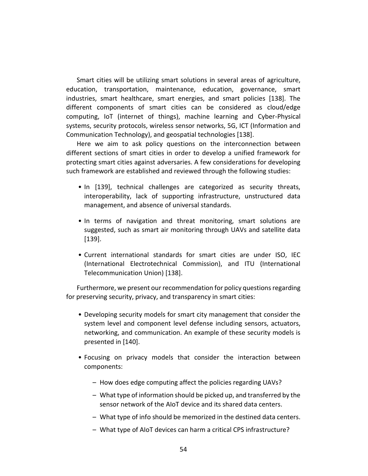Smart cities will be utilizing smart solutions in several areas of agriculture, education, transportation, maintenance, education, governance, smart industries, smart healthcare, smart energies, and smart policies [138]. The different components of smart cities can be considered as cloud/edge computing, IoT (internet of things), machine learning and Cyber-Physical systems, security protocols, wireless sensor networks, 5G, ICT (Information and Communication Technology), and geospatial technologies [138].

Here we aim to ask policy questions on the interconnection between different sections of smart cities in order to develop a unified framework for protecting smart cities against adversaries. A few considerations for developing such framework are established and reviewed through the following studies:

- In [139], technical challenges are categorized as security threats, interoperability, lack of supporting infrastructure, unstructured data management, and absence of universal standards.
- In terms of navigation and threat monitoring, smart solutions are suggested, such as smart air monitoring through UAVs and satellite data [139].
- Current international standards for smart cities are under ISO, IEC (International Electrotechnical Commission), and ITU (International Telecommunication Union) [138].

Furthermore, we present our recommendation for policy questions regarding for preserving security, privacy, and transparency in smart cities:

- Developing security models for smart city management that consider the system level and component level defense including sensors, actuators, networking, and communication. An example of these security models is presented in [140].
- Focusing on privacy models that consider the interaction between components:
	- How does edge computing affect the policies regarding UAVs?
	- What type of information should be picked up, and transferred by the sensor network of the AIoT device and its shared data centers.
	- What type of info should be memorized in the destined data centers.
	- What type of AIoT devices can harm a critical CPS infrastructure?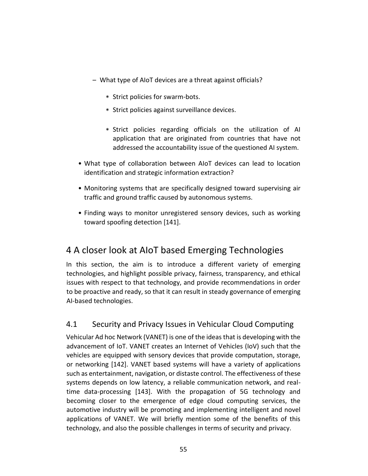- What type of AIoT devices are a threat against officials?
	- \* Strict policies for swarm-bots.
	- \* Strict policies against surveillance devices.
	- \* Strict policies regarding officials on the utilization of AI application that are originated from countries that have not addressed the accountability issue of the questioned AI system.
- What type of collaboration between AIoT devices can lead to location identification and strategic information extraction?
- Monitoring systems that are specifically designed toward supervising air traffic and ground traffic caused by autonomous systems.
- Finding ways to monitor unregistered sensory devices, such as working toward spoofing detection [141].

# 4 A closer look at AIoT based Emerging Technologies

In this section, the aim is to introduce a different variety of emerging technologies, and highlight possible privacy, fairness, transparency, and ethical issues with respect to that technology, and provide recommendations in order to be proactive and ready, so that it can result in steady governance of emerging AI-based technologies.

## 4.1 Security and Privacy Issues in Vehicular Cloud Computing

Vehicular Ad hoc Network (VANET) is one of the ideas that is developing with the advancement of IoT. VANET creates an Internet of Vehicles (IoV) such that the vehicles are equipped with sensory devices that provide computation, storage, or networking [142]. VANET based systems will have a variety of applications such as entertainment, navigation, or distaste control. The effectiveness of these systems depends on low latency, a reliable communication network, and realtime data-processing [143]. With the propagation of 5G technology and becoming closer to the emergence of edge cloud computing services, the automotive industry will be promoting and implementing intelligent and novel applications of VANET. We will briefly mention some of the benefits of this technology, and also the possible challenges in terms of security and privacy.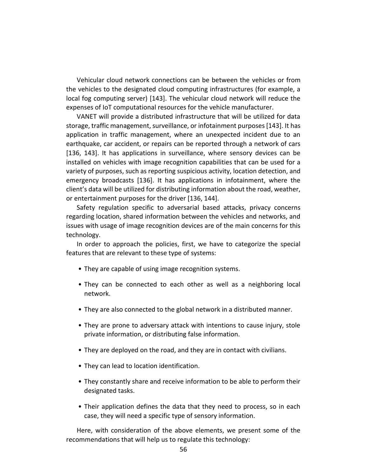Vehicular cloud network connections can be between the vehicles or from the vehicles to the designated cloud computing infrastructures (for example, a local fog computing server) [143]. The vehicular cloud network will reduce the expenses of IoT computational resources for the vehicle manufacturer.

VANET will provide a distributed infrastructure that will be utilized for data storage, traffic management, surveillance, or infotainment purposes [143]. It has application in traffic management, where an unexpected incident due to an earthquake, car accident, or repairs can be reported through a network of cars [136, 143]. It has applications in surveillance, where sensory devices can be installed on vehicles with image recognition capabilities that can be used for a variety of purposes, such as reporting suspicious activity, location detection, and emergency broadcasts [136]. It has applications in infotainment, where the client's data will be utilized for distributing information about the road, weather, or entertainment purposes for the driver [136, 144].

Safety regulation specific to adversarial based attacks, privacy concerns regarding location, shared information between the vehicles and networks, and issues with usage of image recognition devices are of the main concerns for this technology.

In order to approach the policies, first, we have to categorize the special features that are relevant to these type of systems:

- They are capable of using image recognition systems.
- They can be connected to each other as well as a neighboring local network.
- They are also connected to the global network in a distributed manner.
- They are prone to adversary attack with intentions to cause injury, stole private information, or distributing false information.
- They are deployed on the road, and they are in contact with civilians.
- They can lead to location identification.
- They constantly share and receive information to be able to perform their designated tasks.
- Their application defines the data that they need to process, so in each case, they will need a specific type of sensory information.

Here, with consideration of the above elements, we present some of the recommendations that will help us to regulate this technology: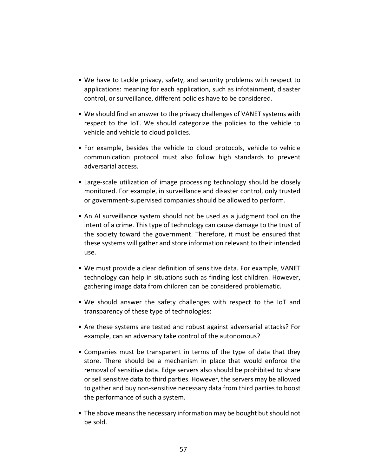- We have to tackle privacy, safety, and security problems with respect to applications: meaning for each application, such as infotainment, disaster control, or surveillance, different policies have to be considered.
- We should find an answer to the privacy challenges of VANET systems with respect to the IoT. We should categorize the policies to the vehicle to vehicle and vehicle to cloud policies.
- For example, besides the vehicle to cloud protocols, vehicle to vehicle communication protocol must also follow high standards to prevent adversarial access.
- Large-scale utilization of image processing technology should be closely monitored. For example, in surveillance and disaster control, only trusted or government-supervised companies should be allowed to perform.
- An AI surveillance system should not be used as a judgment tool on the intent of a crime. This type of technology can cause damage to the trust of the society toward the government. Therefore, it must be ensured that these systems will gather and store information relevant to their intended use.
- We must provide a clear definition of sensitive data. For example, VANET technology can help in situations such as finding lost children. However, gathering image data from children can be considered problematic.
- We should answer the safety challenges with respect to the IoT and transparency of these type of technologies:
- Are these systems are tested and robust against adversarial attacks? For example, can an adversary take control of the autonomous?
- Companies must be transparent in terms of the type of data that they store. There should be a mechanism in place that would enforce the removal of sensitive data. Edge servers also should be prohibited to share or sell sensitive data to third parties. However, the servers may be allowed to gather and buy non-sensitive necessary data from third parties to boost the performance of such a system.
- The above means the necessary information may be bought but should not be sold.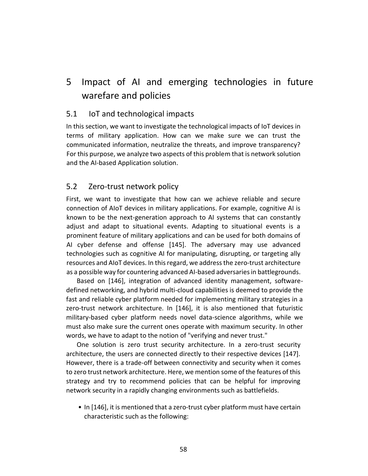# 5 Impact of AI and emerging technologies in future warefare and policies

### 5.1 IoT and technological impacts

In this section, we want to investigate the technological impacts of IoT devices in terms of military application. How can we make sure we can trust the communicated information, neutralize the threats, and improve transparency? For this purpose, we analyze two aspects of this problem that is network solution and the AI-based Application solution.

### 5.2 Zero-trust network policy

First, we want to investigate that how can we achieve reliable and secure connection of AIoT devices in military applications. For example, cognitive AI is known to be the next-generation approach to AI systems that can constantly adjust and adapt to situational events. Adapting to situational events is a prominent feature of military applications and can be used for both domains of AI cyber defense and offense [145]. The adversary may use advanced technologies such as cognitive AI for manipulating, disrupting, or targeting ally resources and AIoT devices. In this regard, we address the zero-trust architecture as a possible way for countering advanced AI-based adversaries in battlegrounds.

Based on [146], integration of advanced identity management, softwaredefined networking, and hybrid multi-cloud capabilities is deemed to provide the fast and reliable cyber platform needed for implementing military strategies in a zero-trust network architecture. In [146], it is also mentioned that futuristic military-based cyber platform needs novel data-science algorithms, while we must also make sure the current ones operate with maximum security. In other words, we have to adapt to the notion of "verifying and never trust."

One solution is zero trust security architecture. In a zero-trust security architecture, the users are connected directly to their respective devices [147]. However, there is a trade-off between connectivity and security when it comes to zero trust network architecture. Here, we mention some of the features of this strategy and try to recommend policies that can be helpful for improving network security in a rapidly changing environments such as battlefields.

• In [146], it is mentioned that a zero-trust cyber platform must have certain characteristic such as the following: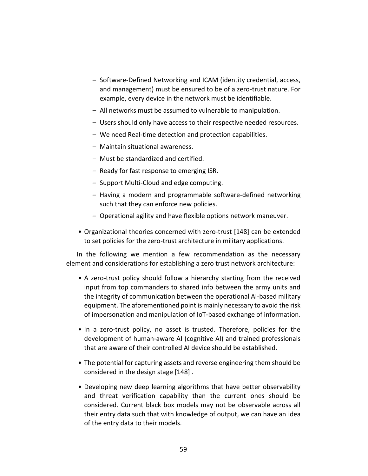- Software-Defined Networking and ICAM (identity credential, access, and management) must be ensured to be of a zero-trust nature. For example, every device in the network must be identifiable.
- All networks must be assumed to vulnerable to manipulation.
- Users should only have access to their respective needed resources.
- We need Real-time detection and protection capabilities.
- Maintain situational awareness.
- Must be standardized and certified.
- Ready for fast response to emerging ISR.
- Support Multi-Cloud and edge computing.
- Having a modern and programmable software-defined networking such that they can enforce new policies.
- Operational agility and have flexible options network maneuver.
- Organizational theories concerned with zero-trust [148] can be extended to set policies for the zero-trust architecture in military applications.

In the following we mention a few recommendation as the necessary element and considerations for establishing a zero trust network architecture:

- A zero-trust policy should follow a hierarchy starting from the received input from top commanders to shared info between the army units and the integrity of communication between the operational AI-based military equipment. The aforementioned point is mainly necessary to avoid the risk of impersonation and manipulation of IoT-based exchange of information.
- In a zero-trust policy, no asset is trusted. Therefore, policies for the development of human-aware AI (cognitive AI) and trained professionals that are aware of their controlled AI device should be established.
- The potential for capturing assets and reverse engineering them should be considered in the design stage [148] .
- Developing new deep learning algorithms that have better observability and threat verification capability than the current ones should be considered. Current black box models may not be observable across all their entry data such that with knowledge of output, we can have an idea of the entry data to their models.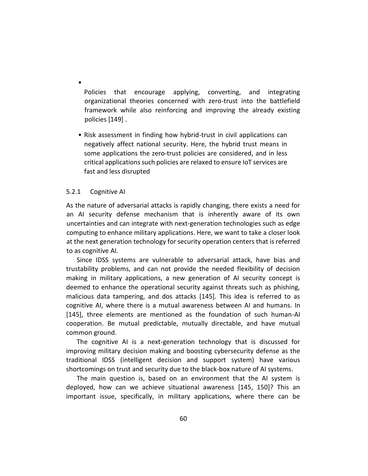Policies that encourage applying, converting, and integrating organizational theories concerned with zero-trust into the battlefield framework while also reinforcing and improving the already existing policies [149] .

• Risk assessment in finding how hybrid-trust in civil applications can negatively affect national security. Here, the hybrid trust means in some applications the zero-trust policies are considered, and in less critical applications such policies are relaxed to ensure IoT services are fast and less disrupted

#### 5.2.1 Cognitive AI

•

As the nature of adversarial attacks is rapidly changing, there exists a need for an AI security defense mechanism that is inherently aware of its own uncertainties and can integrate with next-generation technologies such as edge computing to enhance military applications. Here, we want to take a closer look at the next generation technology for security operation centers that is referred to as cognitive AI.

Since IDSS systems are vulnerable to adversarial attack, have bias and trustability problems, and can not provide the needed flexibility of decision making in military applications, a new generation of AI security concept is deemed to enhance the operational security against threats such as phishing, malicious data tampering, and dos attacks [145]. This idea is referred to as cognitive AI, where there is a mutual awareness between AI and humans. In [145], three elements are mentioned as the foundation of such human-AI cooperation. Be mutual predictable, mutually directable, and have mutual common ground.

The cognitive AI is a next-generation technology that is discussed for improving military decision making and boosting cybersecurity defense as the traditional IDSS (intelligent decision and support system) have various shortcomings on trust and security due to the black-box nature of AI systems.

The main question is, based on an environment that the AI system is deployed, how can we achieve situational awareness [145, 150]? This an important issue, specifically, in military applications, where there can be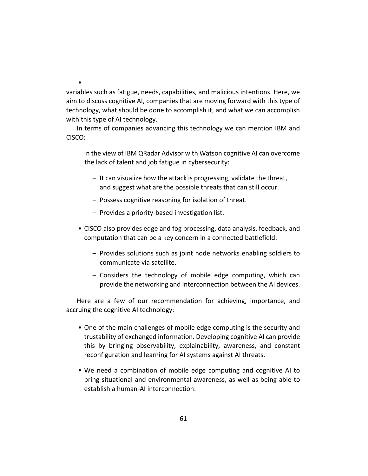variables such as fatigue, needs, capabilities, and malicious intentions. Here, we aim to discuss cognitive AI, companies that are moving forward with this type of technology, what should be done to accomplish it, and what we can accomplish with this type of AI technology.

In terms of companies advancing this technology we can mention IBM and CISCO:

In the view of IBM QRadar Advisor with Watson cognitive AI can overcome the lack of talent and job fatigue in cybersecurity:

- It can visualize how the attack is progressing, validate the threat, and suggest what are the possible threats that can still occur.
- Possess cognitive reasoning for isolation of threat.
- Provides a priority-based investigation list.

•

- CISCO also provides edge and fog processing, data analysis, feedback, and computation that can be a key concern in a connected battlefield:
	- Provides solutions such as joint node networks enabling soldiers to communicate via satellite.
	- Considers the technology of mobile edge computing, which can provide the networking and interconnection between the AI devices.

Here are a few of our recommendation for achieving, importance, and accruing the cognitive AI technology:

- One of the main challenges of mobile edge computing is the security and trustability of exchanged information. Developing cognitive AI can provide this by bringing observability, explainability, awareness, and constant reconfiguration and learning for AI systems against AI threats.
- We need a combination of mobile edge computing and cognitive AI to bring situational and environmental awareness, as well as being able to establish a human-AI interconnection.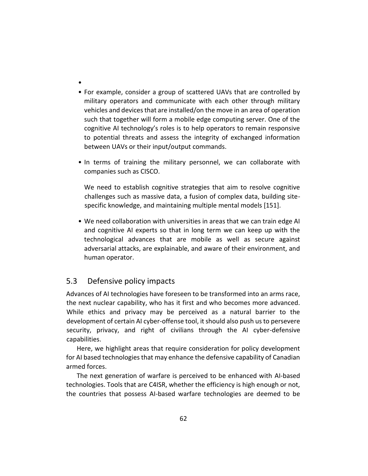- •
- For example, consider a group of scattered UAVs that are controlled by military operators and communicate with each other through military vehicles and devices that are installed/on the move in an area of operation such that together will form a mobile edge computing server. One of the cognitive AI technology's roles is to help operators to remain responsive to potential threats and assess the integrity of exchanged information between UAVs or their input/output commands.
- In terms of training the military personnel, we can collaborate with companies such as CISCO.

We need to establish cognitive strategies that aim to resolve cognitive challenges such as massive data, a fusion of complex data, building sitespecific knowledge, and maintaining multiple mental models [151].

• We need collaboration with universities in areas that we can train edge AI and cognitive AI experts so that in long term we can keep up with the technological advances that are mobile as well as secure against adversarial attacks, are explainable, and aware of their environment, and human operator.

## 5.3 Defensive policy impacts

Advances of AI technologies have foreseen to be transformed into an arms race, the next nuclear capability, who has it first and who becomes more advanced. While ethics and privacy may be perceived as a natural barrier to the development of certain AI cyber-offense tool, it should also push us to persevere security, privacy, and right of civilians through the AI cyber-defensive capabilities.

Here, we highlight areas that require consideration for policy development for AI based technologies that may enhance the defensive capability of Canadian armed forces.

The next generation of warfare is perceived to be enhanced with AI-based technologies. Tools that are C4ISR, whether the efficiency is high enough or not, the countries that possess AI-based warfare technologies are deemed to be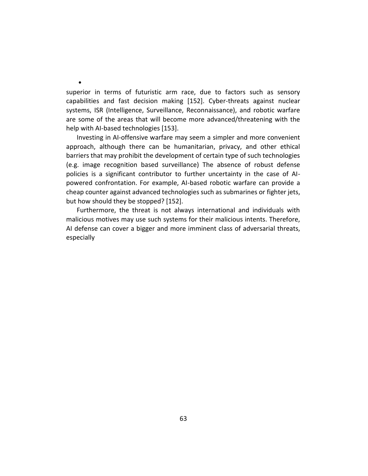superior in terms of futuristic arm race, due to factors such as sensory capabilities and fast decision making [152]. Cyber-threats against nuclear systems, ISR (Intelligence, Surveillance, Reconnaissance), and robotic warfare are some of the areas that will become more advanced/threatening with the help with AI-based technologies [153].

•

Investing in AI-offensive warfare may seem a simpler and more convenient approach, although there can be humanitarian, privacy, and other ethical barriers that may prohibit the development of certain type of such technologies (e.g. image recognition based surveillance) The absence of robust defense policies is a significant contributor to further uncertainty in the case of AIpowered confrontation. For example, AI-based robotic warfare can provide a cheap counter against advanced technologies such as submarines or fighter jets, but how should they be stopped? [152].

Furthermore, the threat is not always international and individuals with malicious motives may use such systems for their malicious intents. Therefore, AI defense can cover a bigger and more imminent class of adversarial threats, especially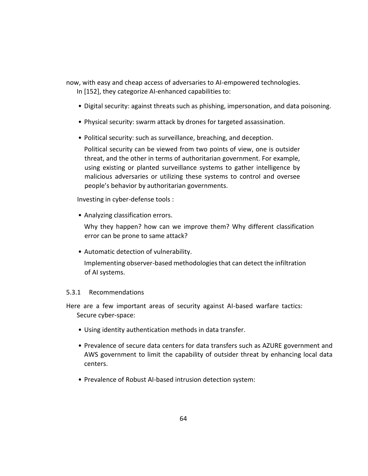now, with easy and cheap access of adversaries to AI-empowered technologies.

In [152], they categorize AI-enhanced capabilities to:

- Digital security: against threats such as phishing, impersonation, and data poisoning.
- Physical security: swarm attack by drones for targeted assassination.
- Political security: such as surveillance, breaching, and deception.

Political security can be viewed from two points of view, one is outsider threat, and the other in terms of authoritarian government. For example, using existing or planted surveillance systems to gather intelligence by malicious adversaries or utilizing these systems to control and oversee people's behavior by authoritarian governments.

Investing in cyber-defense tools :

• Analyzing classification errors.

Why they happen? how can we improve them? Why different classification error can be prone to same attack?

• Automatic detection of vulnerability.

Implementing observer-based methodologies that can detect the infiltration of AI systems.

### 5.3.1 Recommendations

Here are a few important areas of security against AI-based warfare tactics: Secure cyber-space:

- Using identity authentication methods in data transfer.
- Prevalence of secure data centers for data transfers such as AZURE government and AWS government to limit the capability of outsider threat by enhancing local data centers.
- Prevalence of Robust AI-based intrusion detection system: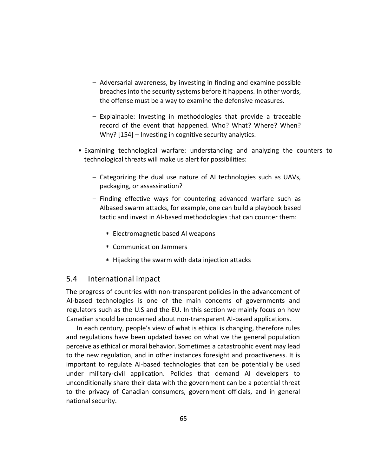- Adversarial awareness, by investing in finding and examine possible breaches into the security systems before it happens. In other words, the offense must be a way to examine the defensive measures.
- Explainable: Investing in methodologies that provide a traceable record of the event that happened. Who? What? Where? When? Why? [154] – Investing in cognitive security analytics.
- Examining technological warfare: understanding and analyzing the counters to technological threats will make us alert for possibilities:
	- Categorizing the dual use nature of AI technologies such as UAVs, packaging, or assassination?
	- Finding effective ways for countering advanced warfare such as AIbased swarm attacks, for example, one can build a playbook based tactic and invest in AI-based methodologies that can counter them:
		- \* Electromagnetic based AI weapons
		- \* Communication Jammers
		- \* Hijacking the swarm with data injection attacks

### 5.4 International impact

The progress of countries with non-transparent policies in the advancement of AI-based technologies is one of the main concerns of governments and regulators such as the U.S and the EU. In this section we mainly focus on how Canadian should be concerned about non-transparent AI-based applications.

In each century, people's view of what is ethical is changing, therefore rules and regulations have been updated based on what we the general population perceive as ethical or moral behavior. Sometimes a catastrophic event may lead to the new regulation, and in other instances foresight and proactiveness. It is important to regulate AI-based technologies that can be potentially be used under military-civil application. Policies that demand AI developers to unconditionally share their data with the government can be a potential threat to the privacy of Canadian consumers, government officials, and in general national security.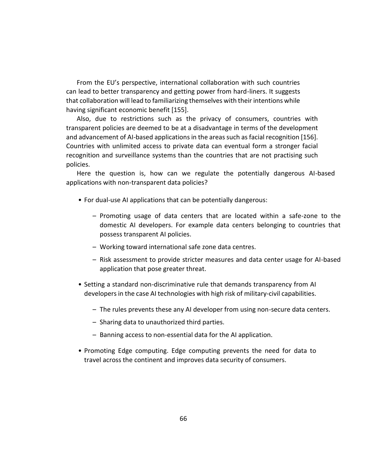From the EU's perspective, international collaboration with such countries can lead to better transparency and getting power from hard-liners. It suggests that collaboration will lead to familiarizing themselves with their intentions while having significant economic benefit [155].

Also, due to restrictions such as the privacy of consumers, countries with transparent policies are deemed to be at a disadvantage in terms of the development and advancement of AI-based applications in the areas such as facial recognition [156]. Countries with unlimited access to private data can eventual form a stronger facial recognition and surveillance systems than the countries that are not practising such policies.

Here the question is, how can we regulate the potentially dangerous AI-based applications with non-transparent data policies?

- For dual-use AI applications that can be potentially dangerous:
	- Promoting usage of data centers that are located within a safe-zone to the domestic AI developers. For example data centers belonging to countries that possess transparent AI policies.
	- Working toward international safe zone data centres.
	- Risk assessment to provide stricter measures and data center usage for AI-based application that pose greater threat.
- Setting a standard non-discriminative rule that demands transparency from AI developers in the case AI technologies with high risk of military-civil capabilities.
	- The rules prevents these any AI developer from using non-secure data centers.
	- Sharing data to unauthorized third parties.
	- Banning access to non-essential data for the AI application.
- Promoting Edge computing. Edge computing prevents the need for data to travel across the continent and improves data security of consumers.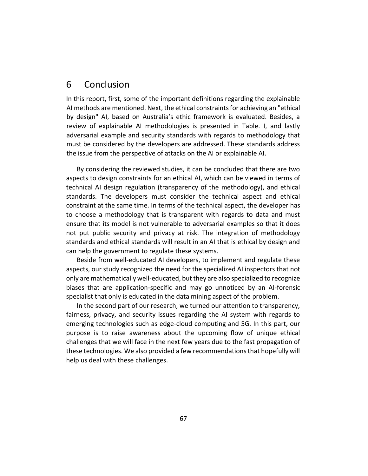# 6 Conclusion

In this report, first, some of the important definitions regarding the explainable AI methods are mentioned. Next, the ethical constraints for achieving an "ethical by design" AI, based on Australia's ethic framework is evaluated. Besides, a review of explainable AI methodologies is presented in Table. I, and lastly adversarial example and security standards with regards to methodology that must be considered by the developers are addressed. These standards address the issue from the perspective of attacks on the AI or explainable AI.

By considering the reviewed studies, it can be concluded that there are two aspects to design constraints for an ethical AI, which can be viewed in terms of technical AI design regulation (transparency of the methodology), and ethical standards. The developers must consider the technical aspect and ethical constraint at the same time. In terms of the technical aspect, the developer has to choose a methodology that is transparent with regards to data and must ensure that its model is not vulnerable to adversarial examples so that it does not put public security and privacy at risk. The integration of methodology standards and ethical standards will result in an AI that is ethical by design and can help the government to regulate these systems.

Beside from well-educated AI developers, to implement and regulate these aspects, our study recognized the need for the specialized AI inspectors that not only are mathematically well-educated, but they are also specialized to recognize biases that are application-specific and may go unnoticed by an AI-forensic specialist that only is educated in the data mining aspect of the problem.

In the second part of our research, we turned our attention to transparency, fairness, privacy, and security issues regarding the AI system with regards to emerging technologies such as edge-cloud computing and 5G. In this part, our purpose is to raise awareness about the upcoming flow of unique ethical challenges that we will face in the next few years due to the fast propagation of these technologies. We also provided a few recommendations that hopefully will help us deal with these challenges.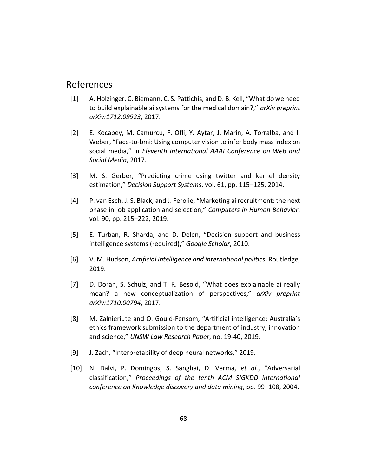# References

- [1] A. Holzinger, C. Biemann, C. S. Pattichis, and D. B. Kell, "What do we need to build explainable ai systems for the medical domain?," *arXiv preprint arXiv:1712.09923*, 2017.
- [2] E. Kocabey, M. Camurcu, F. Ofli, Y. Aytar, J. Marin, A. Torralba, and I. Weber, "Face-to-bmi: Using computer vision to infer body mass index on social media," in *Eleventh International AAAI Conference on Web and Social Media*, 2017.
- [3] M. S. Gerber, "Predicting crime using twitter and kernel density estimation," *Decision Support Systems*, vol. 61, pp. 115–125, 2014.
- [4] P. van Esch, J. S. Black, and J. Ferolie, "Marketing ai recruitment: the next phase in job application and selection," *Computers in Human Behavior*, vol. 90, pp. 215–222, 2019.
- [5] E. Turban, R. Sharda, and D. Delen, "Decision support and business intelligence systems (required)," *Google Scholar*, 2010.
- [6] V. M. Hudson, *Artificial intelligence and international politics*. Routledge, 2019.
- [7] D. Doran, S. Schulz, and T. R. Besold, "What does explainable ai really mean? a new conceptualization of perspectives," *arXiv preprint arXiv:1710.00794*, 2017.
- [8] M. Zalnieriute and O. Gould-Fensom, "Artificial intelligence: Australia's ethics framework submission to the department of industry, innovation and science," *UNSW Law Research Paper*, no. 19-40, 2019.
- [9] J. Zach, "Interpretability of deep neural networks," 2019.
- [10] N. Dalvi, P. Domingos, S. Sanghai, D. Verma, *et al.*, "Adversarial classification," *Proceedings of the tenth ACM SIGKDD international conference on Knowledge discovery and data mining*, pp. 99–108, 2004.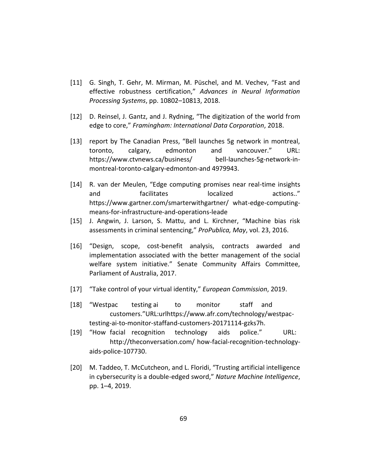- [11] G. Singh, T. Gehr, M. Mirman, M. Püschel, and M. Vechev, "Fast and effective robustness certification," *Advances in Neural Information Processing Systems*, pp. 10802–10813, 2018.
- [12] D. Reinsel, J. Gantz, and J. Rydning, "The digitization of the world from edge to core," *Framingham: International Data Corporation*, 2018.
- [13] report by The Canadian Press, "Bell launches 5g network in montreal, toronto, calgary, edmonton and vancouver." URL: https://www.ctvnews.ca/business/ bell-launches-5g-network-inmontreal-toronto-calgary-edmonton-and 4979943.
- [14] R. van der Meulen, "Edge computing promises near real-time insights and facilitates localized actions.." https://www.gartner.com/smarterwithgartner/ what-edge-computingmeans-for-infrastructure-and-operations-leade
- [15] J. Angwin, J. Larson, S. Mattu, and L. Kirchner, "Machine bias risk assessments in criminal sentencing," *ProPublica, May*, vol. 23, 2016.
- [16] "Design, scope, cost-benefit analysis, contracts awarded and implementation associated with the better management of the social welfare system initiative." Senate Community Affairs Committee, Parliament of Australia, 2017.
- [17] "Take control of your virtual identity," *European Commission*, 2019.
- [18] "Westpac testing ai to monitor staff and customers."URL:urlhttps://www.afr.com/technology/westpactesting-ai-to-monitor-staffand-customers-20171114-gzks7h.
- [19] "How facial recognition technology aids police." URL: http://theconversation.com/ how-facial-recognition-technologyaids-police-107730.
- [20] M. Taddeo, T. McCutcheon, and L. Floridi, "Trusting artificial intelligence in cybersecurity is a double-edged sword," *Nature Machine Intelligence*, pp. 1–4, 2019.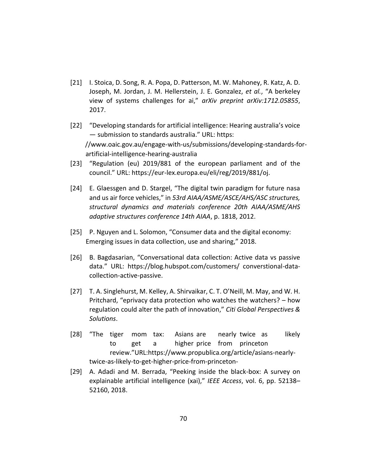- [21] I. Stoica, D. Song, R. A. Popa, D. Patterson, M. W. Mahoney, R. Katz, A. D. Joseph, M. Jordan, J. M. Hellerstein, J. E. Gonzalez, *et al.*, "A berkeley view of systems challenges for ai," *arXiv preprint arXiv:1712.05855*, 2017.
- [22] "Developing standards for artificial intelligence: Hearing australia's voice — submission to standards australia." URL: https: //www.oaic.gov.au/engage-with-us/submissions/developing-standards-forartificial-intelligence-hearing-australia
- [23] "Regulation (eu) 2019/881 of the european parliament and of the council." URL: https://eur-lex.europa.eu/eli/reg/2019/881/oj.
- [24] E. Glaessgen and D. Stargel, "The digital twin paradigm for future nasa and us air force vehicles," in *53rd AIAA/ASME/ASCE/AHS/ASC structures, structural dynamics and materials conference 20th AIAA/ASME/AHS adaptive structures conference 14th AIAA*, p. 1818, 2012.
- [25] P. Nguyen and L. Solomon, "Consumer data and the digital economy: Emerging issues in data collection, use and sharing," 2018.
- [26] B. Bagdasarian, "Conversational data collection: Active data vs passive data." URL: https://blog.hubspot.com/customers/ converstional-datacollection-active-passive.
- [27] T. A. Singlehurst, M. Kelley, A. Shirvaikar, C. T. O'Neill, M. May, and W. H. Pritchard, "eprivacy data protection who watches the watchers? – how regulation could alter the path of innovation," *Citi Global Perspectives & Solutions*.
- [28] "The tiger mom tax: Asians are nearly twice as likely to get a higher price from princeton review."URL:https://www.propublica.org/article/asians-nearlytwice-as-likely-to-get-higher-price-from-princeton-
- [29] A. Adadi and M. Berrada, "Peeking inside the black-box: A survey on explainable artificial intelligence (xai)," *IEEE Access*, vol. 6, pp. 52138– 52160, 2018.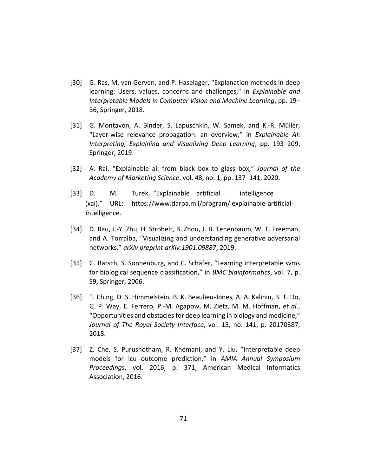- [30] G. Ras, M. van Gerven, and P. Haselager, "Explanation methods in deep learning: Users, values, concerns and challenges," in *Explainable and Interpretable Models in Computer Vision and Machine Learning*, pp. 19– 36, Springer, 2018.
- [31] G. Montavon, A. Binder, S. Lapuschkin, W. Samek, and K.-R. Müller, "Layer-wise relevance propagation: an overview," in *Explainable AI: Interpreting, Explaining and Visualizing Deep Learning*, pp. 193–209, Springer, 2019.
- [32] A. Rai, "Explainable ai: from black box to glass box," *Journal of the Academy of Marketing Science*, vol. 48, no. 1, pp. 137–141, 2020.
- [33] D. M. Turek, "Explainable artificial intelligence (xai)." URL: https://www.darpa.mil/program/ explainable-artificialintelligence.
- [34] D. Bau, J.-Y. Zhu, H. Strobelt, B. Zhou, J. B. Tenenbaum, W. T. Freeman, and A. Torralba, "Visualizing and understanding generative adversarial networks," *arXiv preprint arXiv:1901.09887*, 2019.
- [35] G. Rätsch, S. Sonnenburg, and C. Schäfer, "Learning interpretable svms for biological sequence classification," in *BMC bioinformatics*, vol. 7, p. S9, Springer, 2006.
- [36] T. Ching, D. S. Himmelstein, B. K. Beaulieu-Jones, A. A. Kalinin, B. T. Do, G. P. Way, E. Ferrero, P.-M. Agapow, M. Zietz, M. M. Hoffman, *et al.*, "Opportunities and obstacles for deep learning in biology and medicine," *Journal of The Royal Society Interface*, vol. 15, no. 141, p. 20170387, 2018.
- [37] Z. Che, S. Purushotham, R. Khemani, and Y. Liu, "Interpretable deep models for icu outcome prediction," in *AMIA Annual Symposium Proceedings*, vol. 2016, p. 371, American Medical Informatics Association, 2016.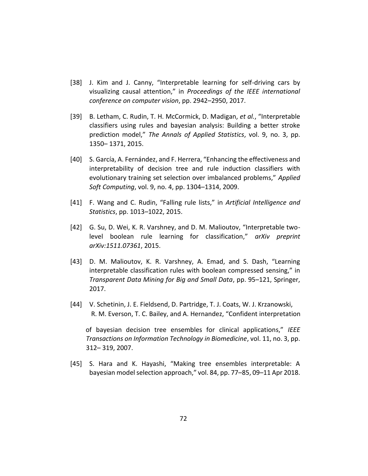- [38] J. Kim and J. Canny, "Interpretable learning for self-driving cars by visualizing causal attention," in *Proceedings of the IEEE international conference on computer vision*, pp. 2942–2950, 2017.
- [39] B. Letham, C. Rudin, T. H. McCormick, D. Madigan, *et al.*, "Interpretable classifiers using rules and bayesian analysis: Building a better stroke prediction model," *The Annals of Applied Statistics*, vol. 9, no. 3, pp. 1350– 1371, 2015.
- [40] S. García, A. Fernández, and F. Herrera, "Enhancing the effectiveness and interpretability of decision tree and rule induction classifiers with evolutionary training set selection over imbalanced problems," *Applied Soft Computing*, vol. 9, no. 4, pp. 1304–1314, 2009.
- [41] F. Wang and C. Rudin, "Falling rule lists," in *Artificial Intelligence and Statistics*, pp. 1013–1022, 2015.
- [42] G. Su, D. Wei, K. R. Varshney, and D. M. Malioutov, "Interpretable twolevel boolean rule learning for classification," *arXiv preprint arXiv:1511.07361*, 2015.
- [43] D. M. Malioutov, K. R. Varshney, A. Emad, and S. Dash, "Learning interpretable classification rules with boolean compressed sensing," in *Transparent Data Mining for Big and Small Data*, pp. 95–121, Springer, 2017.
- [44] V. Schetinin, J. E. Fieldsend, D. Partridge, T. J. Coats, W. J. Krzanowski, R. M. Everson, T. C. Bailey, and A. Hernandez, "Confident interpretation

of bayesian decision tree ensembles for clinical applications," *IEEE Transactions on Information Technology in Biomedicine*, vol. 11, no. 3, pp. 312– 319, 2007.

[45] S. Hara and K. Hayashi, "Making tree ensembles interpretable: A bayesian model selection approach," vol. 84, pp. 77–85, 09–11 Apr 2018.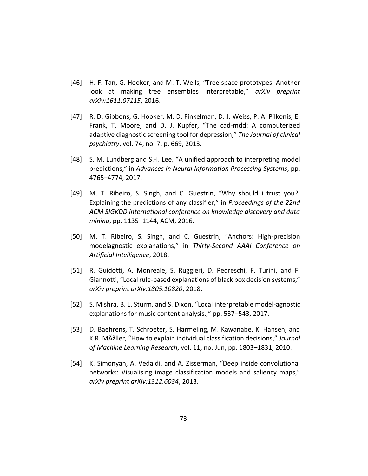- [46] H. F. Tan, G. Hooker, and M. T. Wells, "Tree space prototypes: Another look at making tree ensembles interpretable," *arXiv preprint arXiv:1611.07115*, 2016.
- [47] R. D. Gibbons, G. Hooker, M. D. Finkelman, D. J. Weiss, P. A. Pilkonis, E. Frank, T. Moore, and D. J. Kupfer, "The cad-mdd: A computerized adaptive diagnostic screening tool for depression," *The Journal of clinical psychiatry*, vol. 74, no. 7, p. 669, 2013.
- [48] S. M. Lundberg and S.-I. Lee, "A unified approach to interpreting model predictions," in *Advances in Neural Information Processing Systems*, pp. 4765–4774, 2017.
- [49] M. T. Ribeiro, S. Singh, and C. Guestrin, "Why should i trust you?: Explaining the predictions of any classifier," in *Proceedings of the 22nd ACM SIGKDD international conference on knowledge discovery and data mining*, pp. 1135–1144, ACM, 2016.
- [50] M. T. Ribeiro, S. Singh, and C. Guestrin, "Anchors: High-precision modelagnostic explanations," in *Thirty-Second AAAI Conference on Artificial Intelligence*, 2018.
- [51] R. Guidotti, A. Monreale, S. Ruggieri, D. Pedreschi, F. Turini, and F. Giannotti, "Local rule-based explanations of black box decision systems," *arXiv preprint arXiv:1805.10820*, 2018.
- [52] S. Mishra, B. L. Sturm, and S. Dixon, "Local interpretable model-agnostic explanations for music content analysis.," pp. 537–543, 2017.
- [53] D. Baehrens, T. Schroeter, S. Harmeling, M. Kawanabe, K. Hansen, and K.R. MÞller, "How to explain individual classification decisions," *Journal of Machine Learning Research*, vol. 11, no. Jun, pp. 1803–1831, 2010.
- [54] K. Simonyan, A. Vedaldi, and A. Zisserman, "Deep inside convolutional networks: Visualising image classification models and saliency maps," *arXiv preprint arXiv:1312.6034*, 2013.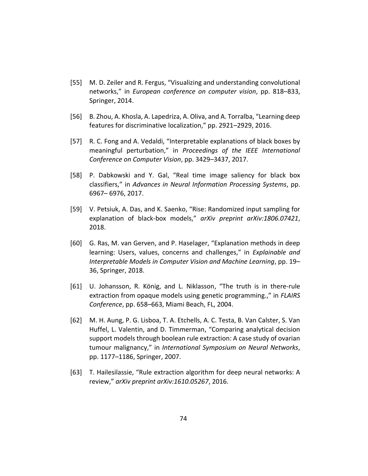- [55] M. D. Zeiler and R. Fergus, "Visualizing and understanding convolutional networks," in *European conference on computer vision*, pp. 818–833, Springer, 2014.
- [56] B. Zhou, A. Khosla, A. Lapedriza, A. Oliva, and A. Torralba, "Learning deep features for discriminative localization," pp. 2921–2929, 2016.
- [57] R. C. Fong and A. Vedaldi, "Interpretable explanations of black boxes by meaningful perturbation," in *Proceedings of the IEEE International Conference on Computer Vision*, pp. 3429–3437, 2017.
- [58] P. Dabkowski and Y. Gal, "Real time image saliency for black box classifiers," in *Advances in Neural Information Processing Systems*, pp. 6967– 6976, 2017.
- [59] V. Petsiuk, A. Das, and K. Saenko, "Rise: Randomized input sampling for explanation of black-box models," *arXiv preprint arXiv:1806.07421*, 2018.
- [60] G. Ras, M. van Gerven, and P. Haselager, "Explanation methods in deep learning: Users, values, concerns and challenges," in *Explainable and Interpretable Models in Computer Vision and Machine Learning*, pp. 19– 36, Springer, 2018.
- [61] U. Johansson, R. König, and L. Niklasson, "The truth is in there-rule extraction from opaque models using genetic programming.," in *FLAIRS Conference*, pp. 658–663, Miami Beach, FL, 2004.
- [62] M. H. Aung, P. G. Lisboa, T. A. Etchells, A. C. Testa, B. Van Calster, S. Van Huffel, L. Valentin, and D. Timmerman, "Comparing analytical decision support models through boolean rule extraction: A case study of ovarian tumour malignancy," in *International Symposium on Neural Networks*, pp. 1177–1186, Springer, 2007.
- [63] T. Hailesilassie, "Rule extraction algorithm for deep neural networks: A review," *arXiv preprint arXiv:1610.05267*, 2016.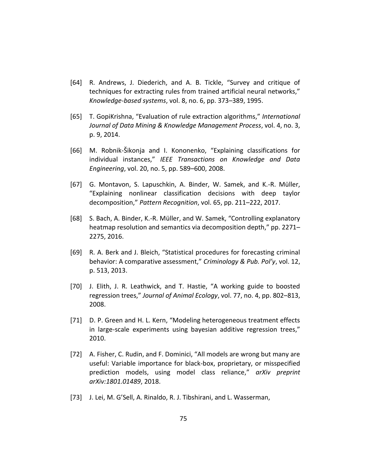- [64] R. Andrews, J. Diederich, and A. B. Tickle, "Survey and critique of techniques for extracting rules from trained artificial neural networks," *Knowledge-based systems*, vol. 8, no. 6, pp. 373–389, 1995.
- [65] T. GopiKrishna, "Evaluation of rule extraction algorithms," *International Journal of Data Mining & Knowledge Management Process*, vol. 4, no. 3, p. 9, 2014.
- [66] M. Robnik-Šikonja and I. Kononenko, "Explaining classifications for individual instances," *IEEE Transactions on Knowledge and Data Engineering*, vol. 20, no. 5, pp. 589–600, 2008.
- [67] G. Montavon, S. Lapuschkin, A. Binder, W. Samek, and K.-R. Müller, "Explaining nonlinear classification decisions with deep taylor decomposition," *Pattern Recognition*, vol. 65, pp. 211–222, 2017.
- [68] S. Bach, A. Binder, K.-R. Müller, and W. Samek, "Controlling explanatory heatmap resolution and semantics via decomposition depth," pp. 2271-2275, 2016.
- [69] R. A. Berk and J. Bleich, "Statistical procedures for forecasting criminal behavior: A comparative assessment," *Criminology & Pub. Pol'y*, vol. 12, p. 513, 2013.
- [70] J. Elith, J. R. Leathwick, and T. Hastie, "A working guide to boosted regression trees," *Journal of Animal Ecology*, vol. 77, no. 4, pp. 802–813, 2008.
- [71] D. P. Green and H. L. Kern, "Modeling heterogeneous treatment effects in large-scale experiments using bayesian additive regression trees," 2010.
- [72] A. Fisher, C. Rudin, and F. Dominici, "All models are wrong but many are useful: Variable importance for black-box, proprietary, or misspecified prediction models, using model class reliance," *arXiv preprint arXiv:1801.01489*, 2018.
- [73] J. Lei, M. G'Sell, A. Rinaldo, R. J. Tibshirani, and L. Wasserman,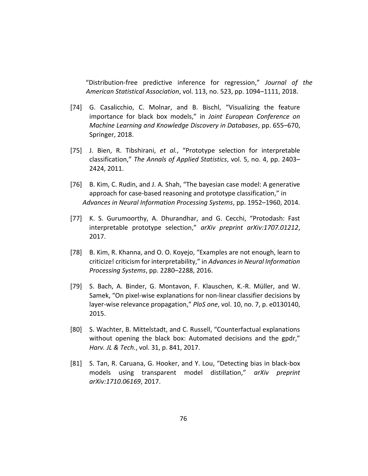"Distribution-free predictive inference for regression," *Journal of the American Statistical Association*, vol. 113, no. 523, pp. 1094–1111, 2018.

- [74] G. Casalicchio, C. Molnar, and B. Bischl, "Visualizing the feature importance for black box models," in *Joint European Conference on Machine Learning and Knowledge Discovery in Databases*, pp. 655–670, Springer, 2018.
- [75] J. Bien, R. Tibshirani, *et al.*, "Prototype selection for interpretable classification," *The Annals of Applied Statistics*, vol. 5, no. 4, pp. 2403– 2424, 2011.
- [76] B. Kim, C. Rudin, and J. A. Shah, "The bayesian case model: A generative approach for case-based reasoning and prototype classification," in *Advances in Neural Information Processing Systems*, pp. 1952–1960, 2014.
- [77] K. S. Gurumoorthy, A. Dhurandhar, and G. Cecchi, "Protodash: Fast interpretable prototype selection," *arXiv preprint arXiv:1707.01212*, 2017.
- [78] B. Kim, R. Khanna, and O. O. Koyejo, "Examples are not enough, learn to criticize! criticism for interpretability," in *Advances in Neural Information Processing Systems*, pp. 2280–2288, 2016.
- [79] S. Bach, A. Binder, G. Montavon, F. Klauschen, K.-R. Müller, and W. Samek, "On pixel-wise explanations for non-linear classifier decisions by layer-wise relevance propagation," *PloS one*, vol. 10, no. 7, p. e0130140, 2015.
- [80] S. Wachter, B. Mittelstadt, and C. Russell, "Counterfactual explanations without opening the black box: Automated decisions and the gpdr," *Harv. JL & Tech.*, vol. 31, p. 841, 2017.
- [81] S. Tan, R. Caruana, G. Hooker, and Y. Lou, "Detecting bias in black-box models using transparent model distillation," *arXiv preprint arXiv:1710.06169*, 2017.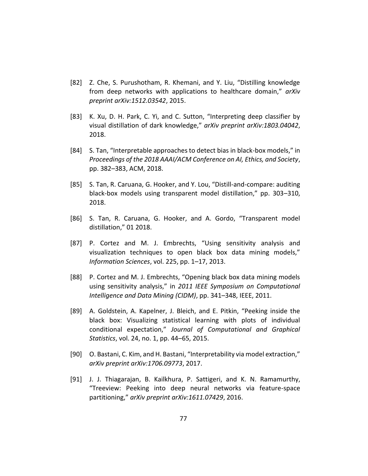- [82] Z. Che, S. Purushotham, R. Khemani, and Y. Liu, "Distilling knowledge from deep networks with applications to healthcare domain," *arXiv preprint arXiv:1512.03542*, 2015.
- [83] K. Xu, D. H. Park, C. Yi, and C. Sutton, "Interpreting deep classifier by visual distillation of dark knowledge," *arXiv preprint arXiv:1803.04042*, 2018.
- [84] S. Tan, "Interpretable approaches to detect bias in black-box models," in *Proceedings of the 2018 AAAI/ACM Conference on AI, Ethics, and Society*, pp. 382–383, ACM, 2018.
- [85] S. Tan, R. Caruana, G. Hooker, and Y. Lou, "Distill-and-compare: auditing black-box models using transparent model distillation," pp. 303–310, 2018.
- [86] S. Tan, R. Caruana, G. Hooker, and A. Gordo, "Transparent model distillation," 01 2018.
- [87] P. Cortez and M. J. Embrechts, "Using sensitivity analysis and visualization techniques to open black box data mining models," *Information Sciences*, vol. 225, pp. 1–17, 2013.
- [88] P. Cortez and M. J. Embrechts, "Opening black box data mining models using sensitivity analysis," in *2011 IEEE Symposium on Computational Intelligence and Data Mining (CIDM)*, pp. 341–348, IEEE, 2011.
- [89] A. Goldstein, A. Kapelner, J. Bleich, and E. Pitkin, "Peeking inside the black box: Visualizing statistical learning with plots of individual conditional expectation," *Journal of Computational and Graphical Statistics*, vol. 24, no. 1, pp. 44–65, 2015.
- [90] O. Bastani, C. Kim, and H. Bastani, "Interpretability via model extraction," *arXiv preprint arXiv:1706.09773*, 2017.
- [91] J. J. Thiagarajan, B. Kailkhura, P. Sattigeri, and K. N. Ramamurthy, "Treeview: Peeking into deep neural networks via feature-space partitioning," *arXiv preprint arXiv:1611.07429*, 2016.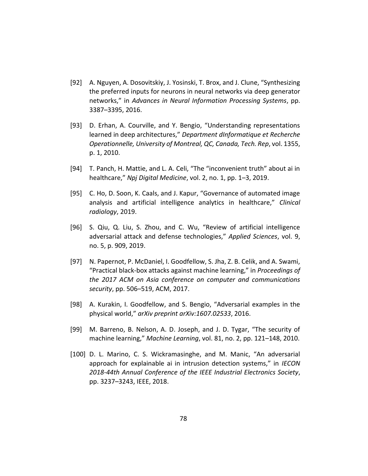- [92] A. Nguyen, A. Dosovitskiy, J. Yosinski, T. Brox, and J. Clune, "Synthesizing the preferred inputs for neurons in neural networks via deep generator networks," in *Advances in Neural Information Processing Systems*, pp. 3387–3395, 2016.
- [93] D. Erhan, A. Courville, and Y. Bengio, "Understanding representations learned in deep architectures," *Department dInformatique et Recherche Operationnelle, University of Montreal, QC, Canada, Tech. Rep*, vol. 1355, p. 1, 2010.
- [94] T. Panch, H. Mattie, and L. A. Celi, "The "inconvenient truth" about ai in healthcare," *Npj Digital Medicine*, vol. 2, no. 1, pp. 1–3, 2019.
- [95] C. Ho, D. Soon, K. Caals, and J. Kapur, "Governance of automated image analysis and artificial intelligence analytics in healthcare," *Clinical radiology*, 2019.
- [96] S. Qiu, Q. Liu, S. Zhou, and C. Wu, "Review of artificial intelligence adversarial attack and defense technologies," *Applied Sciences*, vol. 9, no. 5, p. 909, 2019.
- [97] N. Papernot, P. McDaniel, I. Goodfellow, S. Jha, Z. B. Celik, and A. Swami, "Practical black-box attacks against machine learning," in *Proceedings of the 2017 ACM on Asia conference on computer and communications security*, pp. 506–519, ACM, 2017.
- [98] A. Kurakin, I. Goodfellow, and S. Bengio, "Adversarial examples in the physical world," *arXiv preprint arXiv:1607.02533*, 2016.
- [99] M. Barreno, B. Nelson, A. D. Joseph, and J. D. Tygar, "The security of machine learning," *Machine Learning*, vol. 81, no. 2, pp. 121–148, 2010.
- [100] D. L. Marino, C. S. Wickramasinghe, and M. Manic, "An adversarial approach for explainable ai in intrusion detection systems," in *IECON 2018-44th Annual Conference of the IEEE Industrial Electronics Society*, pp. 3237–3243, IEEE, 2018.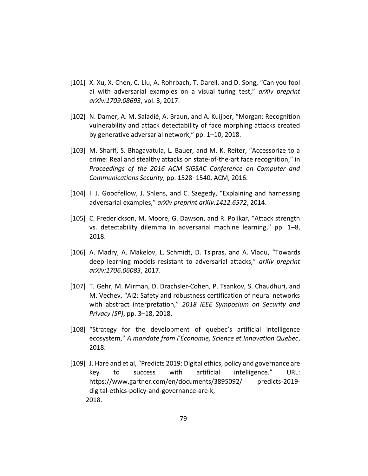- [101] X. Xu, X. Chen, C. Liu, A. Rohrbach, T. Darell, and D. Song, "Can you fool ai with adversarial examples on a visual turing test," *arXiv preprint arXiv:1709.08693*, vol. 3, 2017.
- [102] N. Damer, A. M. Saladié, A. Braun, and A. Kuijper, "Morgan: Recognition vulnerability and attack detectability of face morphing attacks created by generative adversarial network," pp. 1–10, 2018.
- [103] M. Sharif, S. Bhagavatula, L. Bauer, and M. K. Reiter, "Accessorize to a crime: Real and stealthy attacks on state-of-the-art face recognition," in *Proceedings of the 2016 ACM SIGSAC Conference on Computer and Communications Security*, pp. 1528–1540, ACM, 2016.
- [104] I. J. Goodfellow, J. Shlens, and C. Szegedy, "Explaining and harnessing adversarial examples," *arXiv preprint arXiv:1412.6572*, 2014.
- [105] C. Frederickson, M. Moore, G. Dawson, and R. Polikar, "Attack strength vs. detectability dilemma in adversarial machine learning," pp. 1–8, 2018.
- [106] A. Madry, A. Makelov, L. Schmidt, D. Tsipras, and A. Vladu, "Towards deep learning models resistant to adversarial attacks," *arXiv preprint arXiv:1706.06083*, 2017.
- [107] T. Gehr, M. Mirman, D. Drachsler-Cohen, P. Tsankov, S. Chaudhuri, and M. Vechev, "Ai2: Safety and robustness certification of neural networks with abstract interpretation," *2018 IEEE Symposium on Security and Privacy (SP)*, pp. 3–18, 2018.
- [108] "Strategy for the development of quebec's artificial intelligence ecosystem," *A mandate from l'Économie, Science et Innovation Quebec*, 2018.
- [109] J. Hare and et al, "Predicts 2019: Digital ethics, policy and governance are key to success with artificial intelligence." URL: https://www.gartner.com/en/documents/3895092/ predicts-2019 digital-ethics-policy-and-governance-are-k, 2018.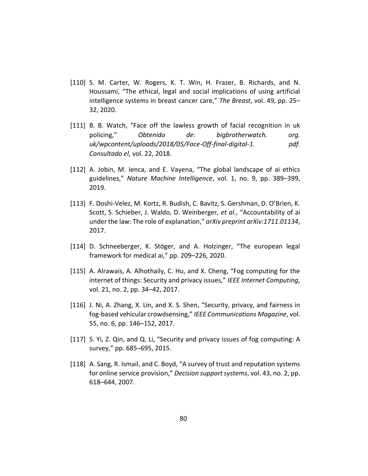- [110] S. M. Carter, W. Rogers, K. T. Win, H. Frazer, B. Richards, and N. Houssami, "The ethical, legal and social implications of using artificial intelligence systems in breast cancer care," *The Breast*, vol. 49, pp. 25– 32, 2020.
- [111] B. B. Watch, "Face off the lawless growth of facial recognition in uk policing," *Obtenido de: bigbrotherwatch. org. uk/wpcontent/uploads/2018/05/Face-Off-final-digital-1. pdf. Consultado el*, vol. 22, 2018.
- [112] A. Jobin, M. Ienca, and E. Vayena, "The global landscape of ai ethics guidelines," *Nature Machine Intelligence*, vol. 1, no. 9, pp. 389–399, 2019.
- [113] F. Doshi-Velez, M. Kortz, R. Budish, C. Bavitz, S. Gershman, D. O'Brien, K. Scott, S. Schieber, J. Waldo, D. Weinberger, *et al.*, "Accountability of ai under the law: The role of explanation," *arXiv preprint arXiv:1711.01134*, 2017.
- [114] D. Schneeberger, K. Stöger, and A. Holzinger, "The european legal framework for medical ai," pp. 209–226, 2020.
- [115] A. Alrawais, A. Alhothaily, C. Hu, and X. Cheng, "Fog computing for the internet of things: Security and privacy issues," *IEEE Internet Computing*, vol. 21, no. 2, pp. 34–42, 2017.
- [116] J. Ni, A. Zhang, X. Lin, and X. S. Shen, "Security, privacy, and fairness in fog-based vehicular crowdsensing," *IEEE Communications Magazine*, vol. 55, no. 6, pp. 146–152, 2017.
- [117] S. Yi, Z. Qin, and Q. Li, "Security and privacy issues of fog computing: A survey," pp. 685–695, 2015.
- [118] A. Sang, R. Ismail, and C. Boyd, "A survey of trust and reputation systems for online service provision," *Decision support systems*, vol. 43, no. 2, pp. 618–644, 2007.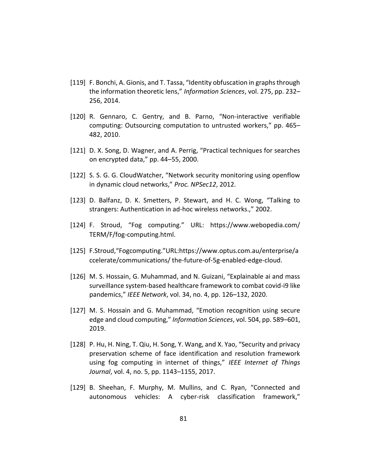- [119] F. Bonchi, A. Gionis, and T. Tassa, "Identity obfuscation in graphs through the information theoretic lens," *Information Sciences*, vol. 275, pp. 232– 256, 2014.
- [120] R. Gennaro, C. Gentry, and B. Parno, "Non-interactive verifiable computing: Outsourcing computation to untrusted workers," pp. 465– 482, 2010.
- [121] D. X. Song, D. Wagner, and A. Perrig, "Practical techniques for searches on encrypted data," pp. 44–55, 2000.
- [122] S. S. G. G. CloudWatcher, "Network security monitoring using openflow in dynamic cloud networks," *Proc. NPSec12*, 2012.
- [123] D. Balfanz, D. K. Smetters, P. Stewart, and H. C. Wong, "Talking to strangers: Authentication in ad-hoc wireless networks.," 2002.
- [124] F. Stroud, "Fog computing." URL: https://www.webopedia.com/ TERM/F/fog-computing.html.
- [125] F.Stroud,"Fogcomputing."URL:https://www.optus.com.au/enterprise/a ccelerate/communications/ the-future-of-5g-enabled-edge-cloud.
- [126] M. S. Hossain, G. Muhammad, and N. Guizani, "Explainable ai and mass surveillance system-based healthcare framework to combat covid-i9 like pandemics," *IEEE Network*, vol. 34, no. 4, pp. 126–132, 2020.
- [127] M. S. Hossain and G. Muhammad, "Emotion recognition using secure edge and cloud computing," *Information Sciences*, vol. 504, pp. 589–601, 2019.
- [128] P. Hu, H. Ning, T. Qiu, H. Song, Y. Wang, and X. Yao, "Security and privacy preservation scheme of face identification and resolution framework using fog computing in internet of things," *IEEE Internet of Things Journal*, vol. 4, no. 5, pp. 1143–1155, 2017.
- [129] B. Sheehan, F. Murphy, M. Mullins, and C. Ryan, "Connected and autonomous vehicles: A cyber-risk classification framework,"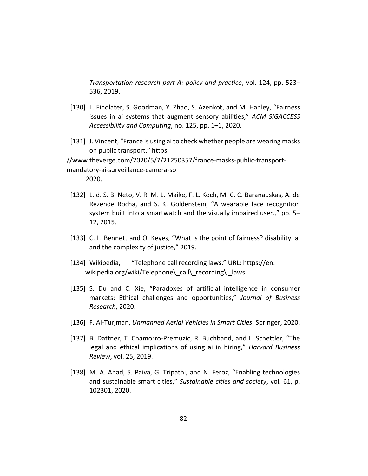*Transportation research part A: policy and practice*, vol. 124, pp. 523– 536, 2019.

- [130] L. Findlater, S. Goodman, Y. Zhao, S. Azenkot, and M. Hanley, "Fairness issues in ai systems that augment sensory abilities," *ACM SIGACCESS Accessibility and Computing*, no. 125, pp. 1–1, 2020.
- [131] J. Vincent, "France is using ai to check whether people are wearing masks on public transport." https:

//www.theverge.com/2020/5/7/21250357/france-masks-public-transportmandatory-ai-surveillance-camera-so

2020.

- [132] L. d. S. B. Neto, V. R. M. L. Maike, F. L. Koch, M. C. C. Baranauskas, A. de Rezende Rocha, and S. K. Goldenstein, "A wearable face recognition system built into a smartwatch and the visually impaired user.," pp. 5– 12, 2015.
- [133] C. L. Bennett and O. Keyes, "What is the point of fairness? disability, ai and the complexity of justice," 2019.
- [134] Wikipedia, "Telephone call recording laws." URL: https://en. wikipedia.org/wiki/Telephone\ call\ recording\ laws.
- [135] S. Du and C. Xie, "Paradoxes of artificial intelligence in consumer markets: Ethical challenges and opportunities," *Journal of Business Research*, 2020.
- [136] F. Al-Turjman, *Unmanned Aerial Vehicles in Smart Cities*. Springer, 2020.
- [137] B. Dattner, T. Chamorro-Premuzic, R. Buchband, and L. Schettler, "The legal and ethical implications of using ai in hiring," *Harvard Business Review*, vol. 25, 2019.
- [138] M. A. Ahad, S. Paiva, G. Tripathi, and N. Feroz, "Enabling technologies and sustainable smart cities," *Sustainable cities and society*, vol. 61, p. 102301, 2020.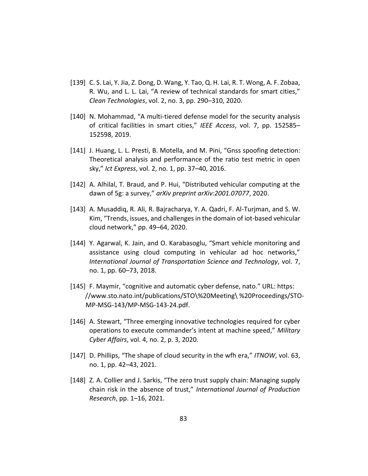- [139] C. S. Lai, Y. Jia, Z. Dong, D. Wang, Y. Tao, Q. H. Lai, R. T. Wong, A. F. Zobaa, R. Wu, and L. L. Lai, "A review of technical standards for smart cities," *Clean Technologies*, vol. 2, no. 3, pp. 290–310, 2020.
- [140] N. Mohammad, "A multi-tiered defense model for the security analysis of critical facilities in smart cities," *IEEE Access*, vol. 7, pp. 152585– 152598, 2019.
- [141] J. Huang, L. L. Presti, B. Motella, and M. Pini, "Gnss spoofing detection: Theoretical analysis and performance of the ratio test metric in open sky," *Ict Express*, vol. 2, no. 1, pp. 37–40, 2016.
- [142] A. Alhilal, T. Braud, and P. Hui, "Distributed vehicular computing at the dawn of 5g: a survey," *arXiv preprint arXiv:2001.07077*, 2020.
- [143] A. Musaddiq, R. Ali, R. Bajracharya, Y. A. Qadri, F. Al-Turjman, and S. W. Kim, "Trends, issues, and challenges in the domain of iot-based vehicular cloud network," pp. 49–64, 2020.
- [144] Y. Agarwal, K. Jain, and O. Karabasoglu, "Smart vehicle monitoring and assistance using cloud computing in vehicular ad hoc networks," *International Journal of Transportation Science and Technology*, vol. 7, no. 1, pp. 60–73, 2018.
- [145] F. Maymir, "cognitive and automatic cyber defense, nato." URL: https: //www.sto.nato.int/publications/STO\%20Meeting\ %20Proceedings/STO-MP-MSG-143/MP-MSG-143-24.pdf.
- [146] A. Stewart, "Three emerging innovative technologies required for cyber operations to execute commander's intent at machine speed," *Military Cyber Affairs*, vol. 4, no. 2, p. 3, 2020.
- [147] D. Phillips, "The shape of cloud security in the wfh era," *ITNOW*, vol. 63, no. 1, pp. 42–43, 2021.
- [148] Z. A. Collier and J. Sarkis, "The zero trust supply chain: Managing supply chain risk in the absence of trust," *International Journal of Production Research*, pp. 1–16, 2021.